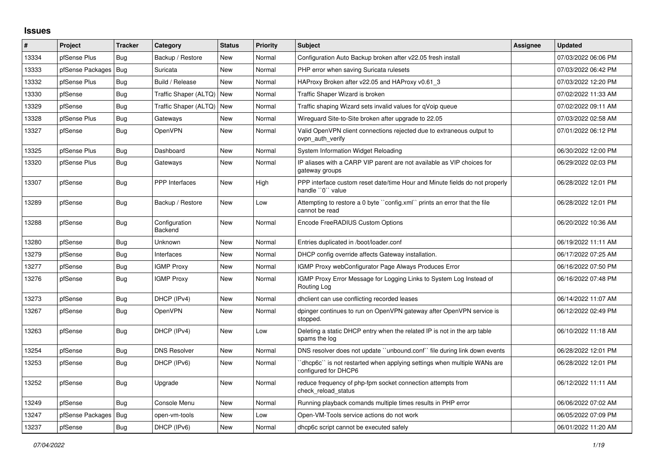## **Issues**

| #     | Project          | <b>Tracker</b> | Category                    | <b>Status</b> | <b>Priority</b> | <b>Subject</b>                                                                                   | Assignee | <b>Updated</b>      |
|-------|------------------|----------------|-----------------------------|---------------|-----------------|--------------------------------------------------------------------------------------------------|----------|---------------------|
| 13334 | pfSense Plus     | Bug            | Backup / Restore            | New           | Normal          | Configuration Auto Backup broken after v22.05 fresh install                                      |          | 07/03/2022 06:06 PM |
| 13333 | pfSense Packages | <b>Bug</b>     | Suricata                    | <b>New</b>    | Normal          | PHP error when saving Suricata rulesets                                                          |          | 07/03/2022 06:42 PM |
| 13332 | pfSense Plus     | Bug            | Build / Release             | New           | Normal          | HAProxy Broken after v22.05 and HAProxy v0.61 3                                                  |          | 07/03/2022 12:20 PM |
| 13330 | pfSense          | <b>Bug</b>     | Traffic Shaper (ALTQ)   New |               | Normal          | Traffic Shaper Wizard is broken                                                                  |          | 07/02/2022 11:33 AM |
| 13329 | pfSense          | Bug            | Traffic Shaper (ALTQ)       | New           | Normal          | Traffic shaping Wizard sets invalid values for qVoip queue                                       |          | 07/02/2022 09:11 AM |
| 13328 | pfSense Plus     | <b>Bug</b>     | Gateways                    | New           | Normal          | Wireguard Site-to-Site broken after upgrade to 22.05                                             |          | 07/03/2022 02:58 AM |
| 13327 | pfSense          | <b>Bug</b>     | OpenVPN                     | <b>New</b>    | Normal          | Valid OpenVPN client connections rejected due to extraneous output to<br>ovpn auth verify        |          | 07/01/2022 06:12 PM |
| 13325 | pfSense Plus     | Bug            | Dashboard                   | New           | Normal          | System Information Widget Reloading                                                              |          | 06/30/2022 12:00 PM |
| 13320 | pfSense Plus     | <b>Bug</b>     | Gateways                    | <b>New</b>    | Normal          | IP aliases with a CARP VIP parent are not available as VIP choices for<br>gateway groups         |          | 06/29/2022 02:03 PM |
| 13307 | pfSense          | Bug            | <b>PPP</b> Interfaces       | New           | High            | PPP interface custom reset date/time Hour and Minute fields do not properly<br>handle "0" value  |          | 06/28/2022 12:01 PM |
| 13289 | pfSense          | <b>Bug</b>     | Backup / Restore            | <b>New</b>    | Low             | Attempting to restore a 0 byte "config.xml" prints an error that the file<br>cannot be read      |          | 06/28/2022 12:01 PM |
| 13288 | pfSense          | Bug            | Configuration<br>Backend    | <b>New</b>    | Normal          | Encode FreeRADIUS Custom Options                                                                 |          | 06/20/2022 10:36 AM |
| 13280 | pfSense          | <b>Bug</b>     | Unknown                     | New           | Normal          | Entries duplicated in /boot/loader.conf                                                          |          | 06/19/2022 11:11 AM |
| 13279 | pfSense          | Bug            | Interfaces                  | <b>New</b>    | Normal          | DHCP config override affects Gateway installation.                                               |          | 06/17/2022 07:25 AM |
| 13277 | pfSense          | <b>Bug</b>     | <b>IGMP Proxy</b>           | New           | Normal          | IGMP Proxy webConfigurator Page Always Produces Error                                            |          | 06/16/2022 07:50 PM |
| 13276 | pfSense          | <b>Bug</b>     | <b>IGMP Proxy</b>           | New           | Normal          | IGMP Proxy Error Message for Logging Links to System Log Instead of<br>Routing Log               |          | 06/16/2022 07:48 PM |
| 13273 | pfSense          | Bug            | DHCP (IPv4)                 | New           | Normal          | dholient can use conflicting recorded leases                                                     |          | 06/14/2022 11:07 AM |
| 13267 | pfSense          | Bug            | <b>OpenVPN</b>              | New           | Normal          | dpinger continues to run on OpenVPN gateway after OpenVPN service is<br>stopped.                 |          | 06/12/2022 02:49 PM |
| 13263 | pfSense          | Bug            | DHCP (IPv4)                 | <b>New</b>    | Low             | Deleting a static DHCP entry when the related IP is not in the arp table<br>spams the log        |          | 06/10/2022 11:18 AM |
| 13254 | pfSense          | Bug            | <b>DNS Resolver</b>         | New           | Normal          | DNS resolver does not update "unbound.conf" file during link down events                         |          | 06/28/2022 12:01 PM |
| 13253 | pfSense          | Bug            | DHCP (IPv6)                 | <b>New</b>    | Normal          | `dhcp6c`` is not restarted when applying settings when multiple WANs are<br>configured for DHCP6 |          | 06/28/2022 12:01 PM |
| 13252 | pfSense          | Bug            | Upgrade                     | <b>New</b>    | Normal          | reduce frequency of php-fpm socket connection attempts from<br>check reload status               |          | 06/12/2022 11:11 AM |
| 13249 | pfSense          | Bug            | Console Menu                | New           | Normal          | Running playback comands multiple times results in PHP error                                     |          | 06/06/2022 07:02 AM |
| 13247 | pfSense Packages | <b>Bug</b>     | open-vm-tools               | New           | Low             | Open-VM-Tools service actions do not work                                                        |          | 06/05/2022 07:09 PM |
| 13237 | pfSense          | Bug            | DHCP (IPv6)                 | New           | Normal          | dhcp6c script cannot be executed safely                                                          |          | 06/01/2022 11:20 AM |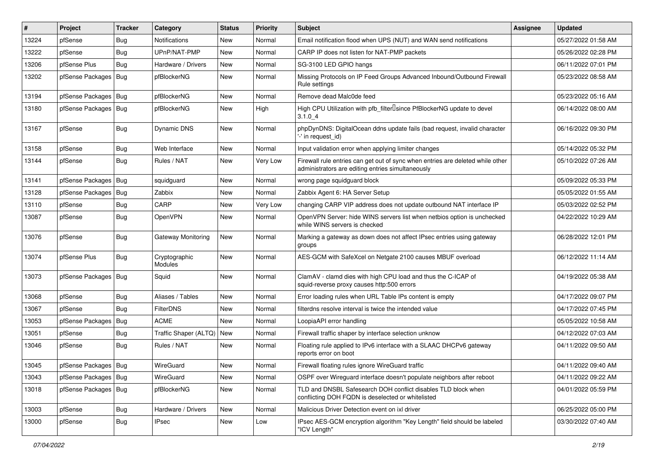| #     | Project                | <b>Tracker</b> | Category                 | <b>Status</b> | <b>Priority</b> | <b>Subject</b>                                                                                                                      | Assignee | <b>Updated</b>      |
|-------|------------------------|----------------|--------------------------|---------------|-----------------|-------------------------------------------------------------------------------------------------------------------------------------|----------|---------------------|
| 13224 | pfSense                | Bug            | Notifications            | New           | Normal          | Email notification flood when UPS (NUT) and WAN send notifications                                                                  |          | 05/27/2022 01:58 AM |
| 13222 | pfSense                | Bug            | UPnP/NAT-PMP             | <b>New</b>    | Normal          | CARP IP does not listen for NAT-PMP packets                                                                                         |          | 05/26/2022 02:28 PM |
| 13206 | pfSense Plus           | Bug            | Hardware / Drivers       | <b>New</b>    | Normal          | SG-3100 LED GPIO hangs                                                                                                              |          | 06/11/2022 07:01 PM |
| 13202 | pfSense Packages   Bug |                | pfBlockerNG              | <b>New</b>    | Normal          | Missing Protocols on IP Feed Groups Advanced Inbound/Outbound Firewall<br>Rule settings                                             |          | 05/23/2022 08:58 AM |
| 13194 | pfSense Packages   Bug |                | pfBlockerNG              | <b>New</b>    | Normal          | Remove dead Malc0de feed                                                                                                            |          | 05/23/2022 05:16 AM |
| 13180 | pfSense Packages   Bug |                | pfBlockerNG              | New           | High            | High CPU Utilization with pfb filter Isince PfBlockerNG update to devel<br>$3.1.0 - 4$                                              |          | 06/14/2022 08:00 AM |
| 13167 | pfSense                | Bug            | <b>Dynamic DNS</b>       | <b>New</b>    | Normal          | phpDynDNS: DigitalOcean ddns update fails (bad request, invalid character<br>'-' in request id)                                     |          | 06/16/2022 09:30 PM |
| 13158 | pfSense                | Bug            | Web Interface            | <b>New</b>    | Normal          | Input validation error when applying limiter changes                                                                                |          | 05/14/2022 05:32 PM |
| 13144 | pfSense                | <b>Bug</b>     | Rules / NAT              | <b>New</b>    | Very Low        | Firewall rule entries can get out of sync when entries are deleted while other<br>administrators are editing entries simultaneously |          | 05/10/2022 07:26 AM |
| 13141 | pfSense Packages   Bug |                | squidguard               | <b>New</b>    | Normal          | wrong page squidguard block                                                                                                         |          | 05/09/2022 05:33 PM |
| 13128 | pfSense Packages   Bug |                | Zabbix                   | <b>New</b>    | Normal          | Zabbix Agent 6: HA Server Setup                                                                                                     |          | 05/05/2022 01:55 AM |
| 13110 | pfSense                | Bug            | CARP                     | <b>New</b>    | Very Low        | changing CARP VIP address does not update outbound NAT interface IP                                                                 |          | 05/03/2022 02:52 PM |
| 13087 | pfSense                | <b>Bug</b>     | OpenVPN                  | New           | Normal          | OpenVPN Server: hide WINS servers list when netbios option is unchecked<br>while WINS servers is checked                            |          | 04/22/2022 10:29 AM |
| 13076 | pfSense                | Bug            | Gateway Monitoring       | New           | Normal          | Marking a gateway as down does not affect IPsec entries using gateway<br>groups                                                     |          | 06/28/2022 12:01 PM |
| 13074 | pfSense Plus           | Bug            | Cryptographic<br>Modules | <b>New</b>    | Normal          | AES-GCM with SafeXcel on Netgate 2100 causes MBUF overload                                                                          |          | 06/12/2022 11:14 AM |
| 13073 | pfSense Packages   Bug |                | Squid                    | New           | Normal          | ClamAV - clamd dies with high CPU load and thus the C-ICAP of<br>squid-reverse proxy causes http:500 errors                         |          | 04/19/2022 05:38 AM |
| 13068 | pfSense                | <b>Bug</b>     | Aliases / Tables         | New           | Normal          | Error loading rules when URL Table IPs content is empty                                                                             |          | 04/17/2022 09:07 PM |
| 13067 | pfSense                | <b>Bug</b>     | FilterDNS                | <b>New</b>    | Normal          | filterdns resolve interval is twice the intended value                                                                              |          | 04/17/2022 07:45 PM |
| 13053 | pfSense Packages   Bug |                | <b>ACME</b>              | New           | Normal          | LoopiaAPI error handling                                                                                                            |          | 05/05/2022 10:58 AM |
| 13051 | pfSense                | <b>Bug</b>     | Traffic Shaper (ALTQ)    | New           | Normal          | Firewall traffic shaper by interface selection unknow                                                                               |          | 04/12/2022 07:03 AM |
| 13046 | pfSense                | <b>Bug</b>     | Rules / NAT              | New           | Normal          | Floating rule applied to IPv6 interface with a SLAAC DHCPv6 gateway<br>reports error on boot                                        |          | 04/11/2022 09:50 AM |
| 13045 | pfSense Packages   Bug |                | WireGuard                | <b>New</b>    | Normal          | Firewall floating rules ignore WireGuard traffic                                                                                    |          | 04/11/2022 09:40 AM |
| 13043 | pfSense Packages   Bug |                | WireGuard                | New           | Normal          | OSPF over Wireguard interface doesn't populate neighbors after reboot                                                               |          | 04/11/2022 09:22 AM |
| 13018 | pfSense Packages   Bug |                | pfBlockerNG              | New           | Normal          | TLD and DNSBL Safesearch DOH conflict disables TLD block when<br>conflicting DOH FQDN is deselected or whitelisted                  |          | 04/01/2022 05:59 PM |
| 13003 | pfSense                | Bug            | Hardware / Drivers       | New           | Normal          | Malicious Driver Detection event on ixl driver                                                                                      |          | 06/25/2022 05:00 PM |
| 13000 | pfSense                | <b>Bug</b>     | <b>IPsec</b>             | New           | Low             | IPsec AES-GCM encryption algorithm "Key Length" field should be labeled<br>"ICV Length"                                             |          | 03/30/2022 07:40 AM |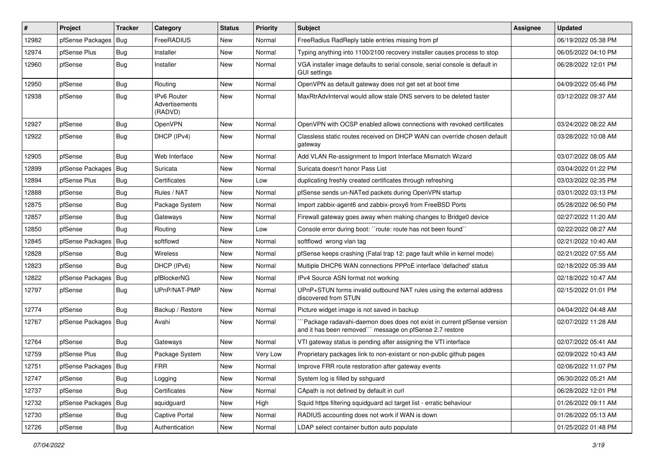| $\vert$ # | Project                | <b>Tracker</b> | Category                                 | <b>Status</b> | <b>Priority</b> | <b>Subject</b>                                                                                                                      | <b>Assignee</b> | <b>Updated</b>      |
|-----------|------------------------|----------------|------------------------------------------|---------------|-----------------|-------------------------------------------------------------------------------------------------------------------------------------|-----------------|---------------------|
| 12982     | pfSense Packages       | Bug            | FreeRADIUS                               | New           | Normal          | FreeRadius RadReply table entries missing from pf                                                                                   |                 | 06/19/2022 05:38 PM |
| 12974     | pfSense Plus           | Bug            | Installer                                | New           | Normal          | Typing anything into 1100/2100 recovery installer causes process to stop                                                            |                 | 06/05/2022 04:10 PM |
| 12960     | pfSense                | Bug            | Installer                                | New           | Normal          | VGA installer image defaults to serial console, serial console is default in<br>GUI settings                                        |                 | 06/28/2022 12:01 PM |
| 12950     | pfSense                | <b>Bug</b>     | Routing                                  | New           | Normal          | OpenVPN as default gateway does not get set at boot time                                                                            |                 | 04/09/2022 05:46 PM |
| 12938     | pfSense                | Bug            | IPv6 Router<br>Advertisements<br>(RADVD) | New           | Normal          | MaxRtrAdvInterval would allow stale DNS servers to be deleted faster                                                                |                 | 03/12/2022 09:37 AM |
| 12927     | pfSense                | <b>Bug</b>     | OpenVPN                                  | New           | Normal          | OpenVPN with OCSP enabled allows connections with revoked certificates                                                              |                 | 03/24/2022 08:22 AM |
| 12922     | pfSense                | Bug            | DHCP (IPv4)                              | New           | Normal          | Classless static routes received on DHCP WAN can override chosen default<br>gateway                                                 |                 | 03/28/2022 10:08 AM |
| 12905     | pfSense                | Bug            | Web Interface                            | <b>New</b>    | Normal          | Add VLAN Re-assignment to Import Interface Mismatch Wizard                                                                          |                 | 03/07/2022 08:05 AM |
| 12899     | pfSense Packages       | Bug            | Suricata                                 | New           | Normal          | Suricata doesn't honor Pass List                                                                                                    |                 | 03/04/2022 01:22 PM |
| 12894     | pfSense Plus           | <b>Bug</b>     | Certificates                             | New           | Low             | duplicating freshly created certificates through refreshing                                                                         |                 | 03/03/2022 02:35 PM |
| 12888     | pfSense                | <b>Bug</b>     | Rules / NAT                              | New           | Normal          | pfSense sends un-NATed packets during OpenVPN startup                                                                               |                 | 03/01/2022 03:13 PM |
| 12875     | pfSense                | <b>Bug</b>     | Package System                           | New           | Normal          | Import zabbix-agent6 and zabbix-proxy6 from FreeBSD Ports                                                                           |                 | 05/28/2022 06:50 PM |
| 12857     | pfSense                | Bug            | Gateways                                 | New           | Normal          | Firewall gateway goes away when making changes to Bridge0 device                                                                    |                 | 02/27/2022 11:20 AM |
| 12850     | pfSense                | Bug            | Routing                                  | New           | Low             | Console error during boot: "route: route has not been found"                                                                        |                 | 02/22/2022 08:27 AM |
| 12845     | pfSense Packages       | Bug            | softflowd                                | New           | Normal          | softflowd wrong vlan tag                                                                                                            |                 | 02/21/2022 10:40 AM |
| 12828     | pfSense                | <b>Bug</b>     | Wireless                                 | New           | Normal          | pfSense keeps crashing (Fatal trap 12: page fault while in kernel mode)                                                             |                 | 02/21/2022 07:55 AM |
| 12823     | pfSense                | <b>Bug</b>     | DHCP (IPv6)                              | New           | Normal          | Multiple DHCP6 WAN connections PPPoE interface 'defached' status                                                                    |                 | 02/18/2022 05:39 AM |
| 12822     | pfSense Packages       | Bug            | pfBlockerNG                              | New           | Normal          | IPv4 Source ASN format not working                                                                                                  |                 | 02/18/2022 10:47 AM |
| 12797     | pfSense                | Bug            | UPnP/NAT-PMP                             | New           | Normal          | UPnP+STUN forms invalid outbound NAT rules using the external address<br>discovered from STUN                                       |                 | 02/15/2022 01:01 PM |
| 12774     | pfSense                | Bug            | Backup / Restore                         | <b>New</b>    | Normal          | Picture widget image is not saved in backup                                                                                         |                 | 04/04/2022 04:48 AM |
| 12767     | pfSense Packages   Bug |                | Avahi                                    | New           | Normal          | `Package radavahi-daemon does does not exist in current pfSense version<br>and it has been removed"" message on pfSense 2.7 restore |                 | 02/07/2022 11:28 AM |
| 12764     | pfSense                | <b>Bug</b>     | Gateways                                 | New           | Normal          | VTI gateway status is pending after assigning the VTI interface                                                                     |                 | 02/07/2022 05:41 AM |
| 12759     | pfSense Plus           | Bug            | Package System                           | New           | Very Low        | Proprietary packages link to non-existant or non-public github pages                                                                |                 | 02/09/2022 10:43 AM |
| 12751     | pfSense Packages   Bug |                | <b>FRR</b>                               | New           | Normal          | Improve FRR route restoration after gateway events                                                                                  |                 | 02/06/2022 11:07 PM |
| 12747     | pfSense                | <b>Bug</b>     | Logging                                  | New           | Normal          | System log is filled by sshguard                                                                                                    |                 | 06/30/2022 05:21 AM |
| 12737     | pfSense                | Bug            | Certificates                             | New           | Normal          | CApath is not defined by default in curl                                                                                            |                 | 06/28/2022 12:01 PM |
| 12732     | pfSense Packages       | <b>Bug</b>     | squidguard                               | New           | High            | Squid https filtering squidguard acl target list - erratic behaviour                                                                |                 | 01/26/2022 09:11 AM |
| 12730     | pfSense                | <b>Bug</b>     | Captive Portal                           | New           | Normal          | RADIUS accounting does not work if WAN is down                                                                                      |                 | 01/26/2022 05:13 AM |
| 12726     | pfSense                | Bug            | Authentication                           | New           | Normal          | LDAP select container button auto populate                                                                                          |                 | 01/25/2022 01:48 PM |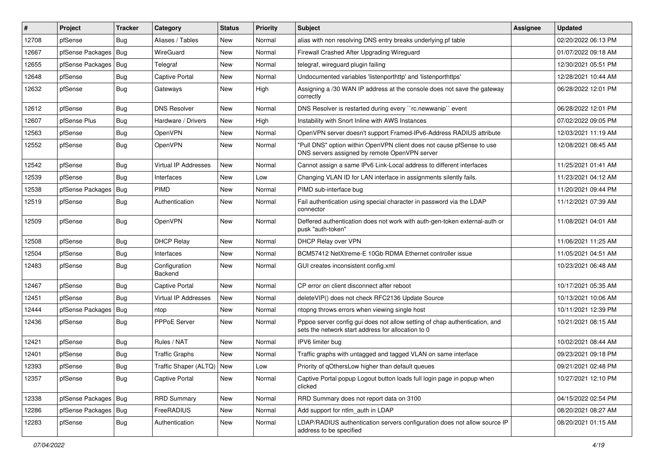| #     | Project                | <b>Tracker</b> | Category                  | <b>Status</b> | <b>Priority</b> | <b>Subject</b>                                                                                                                   | Assignee | <b>Updated</b>      |
|-------|------------------------|----------------|---------------------------|---------------|-----------------|----------------------------------------------------------------------------------------------------------------------------------|----------|---------------------|
| 12708 | pfSense                | Bug            | Aliases / Tables          | New           | Normal          | alias with non resolving DNS entry breaks underlying pf table                                                                    |          | 02/20/2022 06:13 PM |
| 12667 | pfSense Packages   Bug |                | WireGuard                 | <b>New</b>    | Normal          | Firewall Crashed After Upgrading Wireguard                                                                                       |          | 01/07/2022 09:18 AM |
| 12655 | pfSense Packages   Bug |                | Telegraf                  | New           | Normal          | telegraf, wireguard plugin failing                                                                                               |          | 12/30/2021 05:51 PM |
| 12648 | pfSense                | <b>Bug</b>     | <b>Captive Portal</b>     | <b>New</b>    | Normal          | Undocumented variables 'listenporthttp' and 'listenporthttps'                                                                    |          | 12/28/2021 10:44 AM |
| 12632 | pfSense                | Bug            | Gateways                  | New           | High            | Assigning a /30 WAN IP address at the console does not save the gateway<br>correctly                                             |          | 06/28/2022 12:01 PM |
| 12612 | pfSense                | Bug            | <b>DNS Resolver</b>       | <b>New</b>    | Normal          | DNS Resolver is restarted during every "rc.newwanip" event                                                                       |          | 06/28/2022 12:01 PM |
| 12607 | pfSense Plus           | <b>Bug</b>     | Hardware / Drivers        | <b>New</b>    | High            | Instability with Snort Inline with AWS Instances                                                                                 |          | 07/02/2022 09:05 PM |
| 12563 | pfSense                | <b>Bug</b>     | OpenVPN                   | <b>New</b>    | Normal          | OpenVPN server doesn't support Framed-IPv6-Address RADIUS attribute                                                              |          | 12/03/2021 11:19 AM |
| 12552 | pfSense                | <b>Bug</b>     | <b>OpenVPN</b>            | New           | Normal          | "Pull DNS" option within OpenVPN client does not cause pfSense to use<br>DNS servers assigned by remote OpenVPN server           |          | 12/08/2021 08:45 AM |
| 12542 | pfSense                | <b>Bug</b>     | Virtual IP Addresses      | <b>New</b>    | Normal          | Cannot assign a same IPv6 Link-Local address to different interfaces                                                             |          | 11/25/2021 01:41 AM |
| 12539 | pfSense                | Bug            | Interfaces                | <b>New</b>    | Low             | Changing VLAN ID for LAN interface in assignments silently fails.                                                                |          | 11/23/2021 04:12 AM |
| 12538 | pfSense Packages       | <b>Bug</b>     | <b>PIMD</b>               | New           | Normal          | PIMD sub-interface bug                                                                                                           |          | 11/20/2021 09:44 PM |
| 12519 | pfSense                | <b>Bug</b>     | Authentication            | New           | Normal          | Fail authentication using special character in password via the LDAP<br>connector                                                |          | 11/12/2021 07:39 AM |
| 12509 | pfSense                | Bug            | OpenVPN                   | New           | Normal          | Deffered authentication does not work with auth-gen-token external-auth or<br>pusk "auth-token"                                  |          | 11/08/2021 04:01 AM |
| 12508 | pfSense                | <b>Bug</b>     | <b>DHCP Relay</b>         | New           | Normal          | DHCP Relay over VPN                                                                                                              |          | 11/06/2021 11:25 AM |
| 12504 | pfSense                | <b>Bug</b>     | Interfaces                | <b>New</b>    | Normal          | BCM57412 NetXtreme-E 10Gb RDMA Ethernet controller issue                                                                         |          | 11/05/2021 04:51 AM |
| 12483 | pfSense                | <b>Bug</b>     | Configuration<br>Backend  | New           | Normal          | GUI creates inconsistent config.xml                                                                                              |          | 10/23/2021 06:48 AM |
| 12467 | pfSense                | <b>Bug</b>     | <b>Captive Portal</b>     | New           | Normal          | CP error on client disconnect after reboot                                                                                       |          | 10/17/2021 05:35 AM |
| 12451 | pfSense                | Bug            | Virtual IP Addresses      | <b>New</b>    | Normal          | deleteVIP() does not check RFC2136 Update Source                                                                                 |          | 10/13/2021 10:06 AM |
| 12444 | pfSense Packages   Bug |                | ntop                      | <b>New</b>    | Normal          | ntopng throws errors when viewing single host                                                                                    |          | 10/11/2021 12:39 PM |
| 12436 | pfSense                | <b>Bug</b>     | <b>PPPoE Server</b>       | New           | Normal          | Pppoe server config gui does not allow setting of chap authentication, and<br>sets the network start address for allocation to 0 |          | 10/21/2021 08:15 AM |
| 12421 | pfSense                | <b>Bug</b>     | Rules / NAT               | <b>New</b>    | Normal          | IPV6 limiter bug                                                                                                                 |          | 10/02/2021 08:44 AM |
| 12401 | pfSense                | <b>Bug</b>     | <b>Traffic Graphs</b>     | New           | Normal          | Traffic graphs with untagged and tagged VLAN on same interface                                                                   |          | 09/23/2021 09:18 PM |
| 12393 | pfSense                | Bug            | Traffic Shaper (ALTQ) New |               | Low             | Priority of qOthersLow higher than default queues                                                                                |          | 09/21/2021 02:48 PM |
| 12357 | pfSense                | <b>Bug</b>     | Captive Portal            | New           | Normal          | Captive Portal popup Logout button loads full login page in popup when<br>clicked                                                |          | 10/27/2021 12:10 PM |
| 12338 | pfSense Packages   Bug |                | <b>RRD Summary</b>        | New           | Normal          | RRD Summary does not report data on 3100                                                                                         |          | 04/15/2022 02:54 PM |
| 12286 | pfSense Packages   Bug |                | FreeRADIUS                | New           | Normal          | Add support for ntlm_auth in LDAP                                                                                                |          | 08/20/2021 08:27 AM |
| 12283 | pfSense                | <b>Bug</b>     | Authentication            | New           | Normal          | LDAP/RADIUS authentication servers configuration does not allow source IP<br>address to be specified                             |          | 08/20/2021 01:15 AM |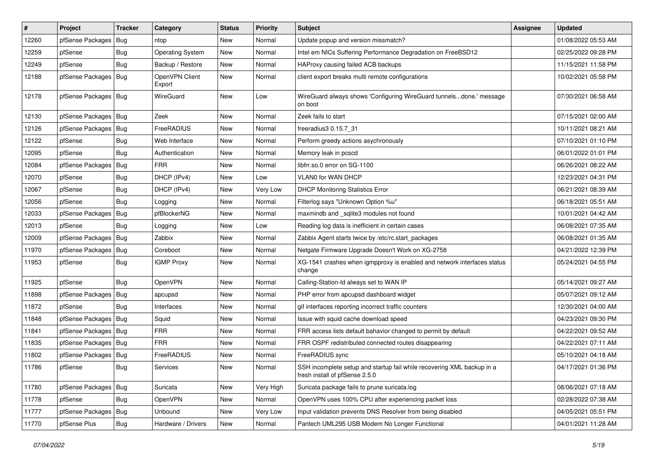| #     | Project                | <b>Tracker</b> | Category                 | <b>Status</b> | <b>Priority</b> | <b>Subject</b>                                                                                           | Assignee | <b>Updated</b>      |
|-------|------------------------|----------------|--------------------------|---------------|-----------------|----------------------------------------------------------------------------------------------------------|----------|---------------------|
| 12260 | pfSense Packages   Bug |                | ntop                     | New           | Normal          | Update popup and version missmatch?                                                                      |          | 01/08/2022 05:53 AM |
| 12259 | pfSense                | <b>Bug</b>     | <b>Operating System</b>  | <b>New</b>    | Normal          | Intel em NICs Suffering Performance Degradation on FreeBSD12                                             |          | 02/25/2022 09:28 PM |
| 12249 | pfSense                | Bug            | Backup / Restore         | New           | Normal          | HAProxy causing failed ACB backups                                                                       |          | 11/15/2021 11:58 PM |
| 12188 | pfSense Packages   Bug |                | OpenVPN Client<br>Export | New           | Normal          | client export breaks multi remote configurations                                                         |          | 10/02/2021 05:58 PM |
| 12178 | pfSense Packages   Bug |                | WireGuard                | New           | Low             | WireGuard always shows 'Configuring WireGuard tunnelsdone.' message<br>on boot                           |          | 07/30/2021 06:58 AM |
| 12130 | pfSense Packages   Bug |                | Zeek                     | <b>New</b>    | Normal          | Zeek fails to start                                                                                      |          | 07/15/2021 02:00 AM |
| 12126 | pfSense Packages   Bug |                | FreeRADIUS               | <b>New</b>    | Normal          | freeradius3 0.15.7 31                                                                                    |          | 10/11/2021 08:21 AM |
| 12122 | pfSense                | <b>Bug</b>     | Web Interface            | New           | Normal          | Perform greedy actions asychronously                                                                     |          | 07/10/2021 01:10 PM |
| 12095 | pfSense                | Bug            | Authentication           | New           | Normal          | Memory leak in pcscd                                                                                     |          | 06/01/2022 01:01 PM |
| 12084 | pfSense Packages   Bug |                | <b>FRR</b>               | New           | Normal          | libfrr.so.0 error on SG-1100                                                                             |          | 06/26/2021 08:22 AM |
| 12070 | pfSense                | <b>Bug</b>     | DHCP (IPv4)              | <b>New</b>    | Low             | VLAN0 for WAN DHCP                                                                                       |          | 12/23/2021 04:31 PM |
| 12067 | pfSense                | <b>Bug</b>     | DHCP (IPv4)              | New           | Very Low        | <b>DHCP Monitoring Statistics Error</b>                                                                  |          | 06/21/2021 08:39 AM |
| 12056 | pfSense                | Bug            | Logging                  | <b>New</b>    | Normal          | Filterlog says "Unknown Option %u"                                                                       |          | 06/18/2021 05:51 AM |
| 12033 | pfSense Packages       | Bug            | pfBlockerNG              | New           | Normal          | maxmindb and _sqlite3 modules not found                                                                  |          | 10/01/2021 04:42 AM |
| 12013 | pfSense                | Bug            | Logging                  | New           | Low             | Reading log data is inefficient in certain cases                                                         |          | 06/08/2021 07:35 AM |
| 12009 | pfSense Packages   Bug |                | Zabbix                   | <b>New</b>    | Normal          | Zabbix Agent starts twice by /etc/rc.start_packages                                                      |          | 06/08/2021 01:35 AM |
| 11970 | pfSense Packages   Bug |                | Coreboot                 | New           | Normal          | Netgate Firmware Upgrade Doesn't Work on XG-2758                                                         |          | 04/21/2022 12:39 PM |
| 11953 | pfSense                | Bug            | <b>IGMP Proxy</b>        | New           | Normal          | XG-1541 crashes when igmpproxy is enabled and network interfaces status<br>change                        |          | 05/24/2021 04:55 PM |
| 11925 | pfSense                | Bug            | OpenVPN                  | <b>New</b>    | Normal          | Calling-Station-Id always set to WAN IP                                                                  |          | 05/14/2021 09:27 AM |
| 11898 | pfSense Packages   Bug |                | apcupsd                  | New           | Normal          | PHP error from apcupsd dashboard widget                                                                  |          | 05/07/2021 09:12 AM |
| 11872 | pfSense                | Bug            | Interfaces               | New           | Normal          | gif interfaces reporting incorrect traffic counters                                                      |          | 12/30/2021 04:00 AM |
| 11848 | pfSense Packages   Bug |                | Squid                    | New           | Normal          | Issue with squid cache download speed                                                                    |          | 04/23/2021 09:30 PM |
| 11841 | pfSense Packages   Bug |                | <b>FRR</b>               | <b>New</b>    | Normal          | FRR access lists default bahavior changed to permit by default                                           |          | 04/22/2021 09:52 AM |
| 11835 | pfSense Packages   Bug |                | <b>FRR</b>               | New           | Normal          | FRR OSPF redistributed connected routes disappearing                                                     |          | 04/22/2021 07:11 AM |
| 11802 | pfSense Packages   Bug |                | FreeRADIUS               | New           | Normal          | FreeRADIUS sync                                                                                          |          | 05/10/2021 04:18 AM |
| 11786 | pfSense                | Bug            | Services                 | New           | Normal          | SSH incomplete setup and startup fail while recovering XML backup in a<br>fresh install of pfSense 2.5.0 |          | 04/17/2021 01:36 PM |
| 11780 | pfSense Packages   Bug |                | Suricata                 | New           | Very High       | Suricata package fails to prune suricata.log                                                             |          | 08/06/2021 07:18 AM |
| 11778 | pfSense                | <b>Bug</b>     | OpenVPN                  | New           | Normal          | OpenVPN uses 100% CPU after experiencing packet loss                                                     |          | 02/28/2022 07:38 AM |
| 11777 | pfSense Packages   Bug |                | Unbound                  | New           | Very Low        | Input validation prevents DNS Resolver from being disabled                                               |          | 04/05/2021 05:51 PM |
| 11770 | pfSense Plus           | <b>Bug</b>     | Hardware / Drivers       | New           | Normal          | Pantech UML295 USB Modem No Longer Functional                                                            |          | 04/01/2021 11:28 AM |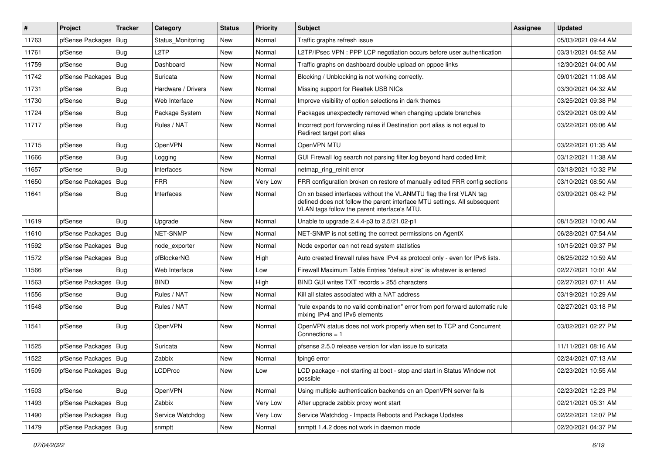| #     | Project                | Tracker    | Category           | <b>Status</b> | <b>Priority</b> | <b>Subject</b>                                                                                                                                                                                  | <b>Assignee</b> | <b>Updated</b>      |
|-------|------------------------|------------|--------------------|---------------|-----------------|-------------------------------------------------------------------------------------------------------------------------------------------------------------------------------------------------|-----------------|---------------------|
| 11763 | pfSense Packages       | Bug        | Status Monitoring  | New           | Normal          | Traffic graphs refresh issue                                                                                                                                                                    |                 | 05/03/2021 09:44 AM |
| 11761 | pfSense                | Bug        | L <sub>2</sub> TP  | <b>New</b>    | Normal          | L2TP/IPsec VPN : PPP LCP negotiation occurs before user authentication                                                                                                                          |                 | 03/31/2021 04:52 AM |
| 11759 | pfSense                | Bug        | Dashboard          | New           | Normal          | Traffic graphs on dashboard double upload on pppoe links                                                                                                                                        |                 | 12/30/2021 04:00 AM |
| 11742 | pfSense Packages   Bug |            | Suricata           | <b>New</b>    | Normal          | Blocking / Unblocking is not working correctly.                                                                                                                                                 |                 | 09/01/2021 11:08 AM |
| 11731 | pfSense                | <b>Bug</b> | Hardware / Drivers | <b>New</b>    | Normal          | Missing support for Realtek USB NICs                                                                                                                                                            |                 | 03/30/2021 04:32 AM |
| 11730 | pfSense                | <b>Bug</b> | Web Interface      | <b>New</b>    | Normal          | Improve visibility of option selections in dark themes                                                                                                                                          |                 | 03/25/2021 09:38 PM |
| 11724 | pfSense                | Bug        | Package System     | <b>New</b>    | Normal          | Packages unexpectedly removed when changing update branches                                                                                                                                     |                 | 03/29/2021 08:09 AM |
| 11717 | pfSense                | <b>Bug</b> | Rules / NAT        | New           | Normal          | Incorrect port forwarding rules if Destination port alias is not equal to<br>Redirect target port alias                                                                                         |                 | 03/22/2021 06:06 AM |
| 11715 | pfSense                | <b>Bug</b> | OpenVPN            | <b>New</b>    | Normal          | OpenVPN MTU                                                                                                                                                                                     |                 | 03/22/2021 01:35 AM |
| 11666 | pfSense                | <b>Bug</b> | Logging            | New           | Normal          | GUI Firewall log search not parsing filter.log beyond hard coded limit                                                                                                                          |                 | 03/12/2021 11:38 AM |
| 11657 | pfSense                | <b>Bug</b> | Interfaces         | <b>New</b>    | Normal          | netmap_ring_reinit error                                                                                                                                                                        |                 | 03/18/2021 10:32 PM |
| 11650 | pfSense Packages   Bug |            | <b>FRR</b>         | <b>New</b>    | Very Low        | FRR configuration broken on restore of manually edited FRR config sections                                                                                                                      |                 | 03/10/2021 08:50 AM |
| 11641 | pfSense                | <b>Bug</b> | Interfaces         | New           | Normal          | On xn based interfaces without the VLANMTU flag the first VLAN tag<br>defined does not follow the parent interface MTU settings. All subsequent<br>VLAN tags follow the parent interface's MTU. |                 | 03/09/2021 06:42 PM |
| 11619 | pfSense                | Bug        | Upgrade            | <b>New</b>    | Normal          | Unable to upgrade 2.4.4-p3 to 2.5/21.02-p1                                                                                                                                                      |                 | 08/15/2021 10:00 AM |
| 11610 | pfSense Packages       | <b>Bug</b> | NET-SNMP           | <b>New</b>    | Normal          | NET-SNMP is not setting the correct permissions on AgentX                                                                                                                                       |                 | 06/28/2021 07:54 AM |
| 11592 | pfSense Packages   Bug |            | node exporter      | New           | Normal          | Node exporter can not read system statistics                                                                                                                                                    |                 | 10/15/2021 09:37 PM |
| 11572 | pfSense Packages   Bug |            | pfBlockerNG        | <b>New</b>    | High            | Auto created firewall rules have IPv4 as protocol only - even for IPv6 lists.                                                                                                                   |                 | 06/25/2022 10:59 AM |
| 11566 | pfSense                | Bug        | Web Interface      | <b>New</b>    | Low             | Firewall Maximum Table Entries "default size" is whatever is entered                                                                                                                            |                 | 02/27/2021 10:01 AM |
| 11563 | pfSense Packages       | Bug        | <b>BIND</b>        | New           | High            | BIND GUI writes TXT records > 255 characters                                                                                                                                                    |                 | 02/27/2021 07:11 AM |
| 11556 | pfSense                | <b>Bug</b> | Rules / NAT        | <b>New</b>    | Normal          | Kill all states associated with a NAT address                                                                                                                                                   |                 | 03/19/2021 10:29 AM |
| 11548 | pfSense                | <b>Bug</b> | Rules / NAT        | New           | Normal          | "rule expands to no valid combination" error from port forward automatic rule<br>mixing IPv4 and IPv6 elements                                                                                  |                 | 02/27/2021 03:18 PM |
| 11541 | pfSense                | Bug        | OpenVPN            | <b>New</b>    | Normal          | OpenVPN status does not work properly when set to TCP and Concurrent<br>Connections = $1$                                                                                                       |                 | 03/02/2021 02:27 PM |
| 11525 | pfSense Packages   Bug |            | Suricata           | <b>New</b>    | Normal          | pfsense 2.5.0 release version for vlan issue to suricata                                                                                                                                        |                 | 11/11/2021 08:16 AM |
| 11522 | pfSense Packages   Bug |            | Zabbix             | <b>New</b>    | Normal          | fping6 error                                                                                                                                                                                    |                 | 02/24/2021 07:13 AM |
| 11509 | pfSense Packages   Bug |            | <b>LCDProc</b>     | New           | Low             | LCD package - not starting at boot - stop and start in Status Window not<br>possible                                                                                                            |                 | 02/23/2021 10:55 AM |
| 11503 | pfSense                | Bug        | OpenVPN            | New           | Normal          | Using multiple authentication backends on an OpenVPN server fails                                                                                                                               |                 | 02/23/2021 12:23 PM |
| 11493 | pfSense Packages   Bug |            | Zabbix             | New           | Very Low        | After upgrade zabbix proxy wont start                                                                                                                                                           |                 | 02/21/2021 05:31 AM |
| 11490 | pfSense Packages   Bug |            | Service Watchdog   | New           | Very Low        | Service Watchdog - Impacts Reboots and Package Updates                                                                                                                                          |                 | 02/22/2021 12:07 PM |
| 11479 | pfSense Packages   Bug |            | snmptt             | New           | Normal          | snmptt 1.4.2 does not work in daemon mode                                                                                                                                                       |                 | 02/20/2021 04:37 PM |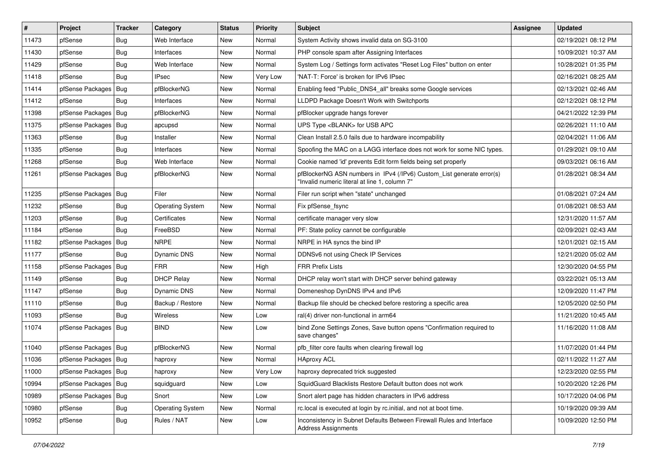| $\pmb{\sharp}$ | Project                | <b>Tracker</b> | Category                | <b>Status</b> | <b>Priority</b> | <b>Subject</b>                                                                                                         | Assignee | <b>Updated</b>      |
|----------------|------------------------|----------------|-------------------------|---------------|-----------------|------------------------------------------------------------------------------------------------------------------------|----------|---------------------|
| 11473          | pfSense                | <b>Bug</b>     | Web Interface           | New           | Normal          | System Activity shows invalid data on SG-3100                                                                          |          | 02/19/2021 08:12 PM |
| 11430          | pfSense                | Bug            | Interfaces              | <b>New</b>    | Normal          | PHP console spam after Assigning Interfaces                                                                            |          | 10/09/2021 10:37 AM |
| 11429          | pfSense                | <b>Bug</b>     | Web Interface           | New           | Normal          | System Log / Settings form activates "Reset Log Files" button on enter                                                 |          | 10/28/2021 01:35 PM |
| 11418          | pfSense                | <b>Bug</b>     | <b>IPsec</b>            | New           | Very Low        | 'NAT-T: Force' is broken for IPv6 IPsec                                                                                |          | 02/16/2021 08:25 AM |
| 11414          | pfSense Packages   Bug |                | pfBlockerNG             | <b>New</b>    | Normal          | Enabling feed "Public_DNS4_all" breaks some Google services                                                            |          | 02/13/2021 02:46 AM |
| 11412          | pfSense                | Bug            | Interfaces              | New           | Normal          | LLDPD Package Doesn't Work with Switchports                                                                            |          | 02/12/2021 08:12 PM |
| 11398          | pfSense Packages   Bug |                | pfBlockerNG             | <b>New</b>    | Normal          | pfBlocker upgrade hangs forever                                                                                        |          | 04/21/2022 12:39 PM |
| 11375          | pfSense Packages   Bug |                | apcupsd                 | New           | Normal          | UPS Type <blank> for USB APC</blank>                                                                                   |          | 02/26/2021 11:10 AM |
| 11363          | pfSense                | <b>Bug</b>     | Installer               | <b>New</b>    | Normal          | Clean Install 2.5.0 fails due to hardware incompability                                                                |          | 02/04/2021 11:06 AM |
| 11335          | pfSense                | <b>Bug</b>     | Interfaces              | <b>New</b>    | Normal          | Spoofing the MAC on a LAGG interface does not work for some NIC types.                                                 |          | 01/29/2021 09:10 AM |
| 11268          | pfSense                | <b>Bug</b>     | Web Interface           | New           | Normal          | Cookie named 'id' prevents Edit form fields being set properly                                                         |          | 09/03/2021 06:16 AM |
| 11261          | pfSense Packages   Bug |                | pfBlockerNG             | New           | Normal          | pfBlockerNG ASN numbers in IPv4 (/IPv6) Custom_List generate error(s)<br>"Invalid numeric literal at line 1, column 7" |          | 01/28/2021 08:34 AM |
| 11235          | pfSense Packages   Bug |                | Filer                   | <b>New</b>    | Normal          | Filer run script when "state" unchanged                                                                                |          | 01/08/2021 07:24 AM |
| 11232          | pfSense                | <b>Bug</b>     | <b>Operating System</b> | <b>New</b>    | Normal          | Fix pfSense_fsync                                                                                                      |          | 01/08/2021 08:53 AM |
| 11203          | pfSense                | <b>Bug</b>     | Certificates            | New           | Normal          | certificate manager very slow                                                                                          |          | 12/31/2020 11:57 AM |
| 11184          | pfSense                | <b>Bug</b>     | FreeBSD                 | <b>New</b>    | Normal          | PF: State policy cannot be configurable                                                                                |          | 02/09/2021 02:43 AM |
| 11182          | pfSense Packages   Bug |                | <b>NRPE</b>             | <b>New</b>    | Normal          | NRPE in HA syncs the bind IP                                                                                           |          | 12/01/2021 02:15 AM |
| 11177          | pfSense                | Bug            | Dynamic DNS             | New           | Normal          | DDNSv6 not using Check IP Services                                                                                     |          | 12/21/2020 05:02 AM |
| 11158          | pfSense Packages   Bug |                | <b>FRR</b>              | <b>New</b>    | High            | <b>FRR Prefix Lists</b>                                                                                                |          | 12/30/2020 04:55 PM |
| 11149          | pfSense                | <b>Bug</b>     | <b>DHCP Relay</b>       | New           | Normal          | DHCP relay won't start with DHCP server behind gateway                                                                 |          | 03/22/2021 05:13 AM |
| 11147          | pfSense                | Bug            | Dynamic DNS             | <b>New</b>    | Normal          | Domeneshop DynDNS IPv4 and IPv6                                                                                        |          | 12/09/2020 11:47 PM |
| 11110          | pfSense                | <b>Bug</b>     | Backup / Restore        | <b>New</b>    | Normal          | Backup file should be checked before restoring a specific area                                                         |          | 12/05/2020 02:50 PM |
| 11093          | pfSense                | Bug            | <b>Wireless</b>         | New           | Low             | ral(4) driver non-functional in arm64                                                                                  |          | 11/21/2020 10:45 AM |
| 11074          | pfSense Packages   Bug |                | <b>BIND</b>             | New           | Low             | bind Zone Settings Zones, Save button opens "Confirmation required to<br>save changes"                                 |          | 11/16/2020 11:08 AM |
| 11040          | pfSense Packages   Bug |                | pfBlockerNG             | <b>New</b>    | Normal          | pfb filter core faults when clearing firewall log                                                                      |          | 11/07/2020 01:44 PM |
| 11036          | pfSense Packages   Bug |                | haproxy                 | New           | Normal          | <b>HAproxy ACL</b>                                                                                                     |          | 02/11/2022 11:27 AM |
| 11000          | pfSense Packages   Bug |                | haproxy                 | New           | Very Low        | haproxy deprecated trick suggested                                                                                     |          | 12/23/2020 02:55 PM |
| 10994          | pfSense Packages   Bug |                | squidguard              | New           | Low             | SquidGuard Blacklists Restore Default button does not work                                                             |          | 10/20/2020 12:26 PM |
| 10989          | pfSense Packages   Bug |                | Snort                   | New           | Low             | Snort alert page has hidden characters in IPv6 address                                                                 |          | 10/17/2020 04:06 PM |
| 10980          | pfSense                | <b>Bug</b>     | <b>Operating System</b> | New           | Normal          | rc.local is executed at login by rc.initial, and not at boot time.                                                     |          | 10/19/2020 09:39 AM |
| 10952          | pfSense                | <b>Bug</b>     | Rules / NAT             | New           | Low             | Inconsistency in Subnet Defaults Between Firewall Rules and Interface<br><b>Address Assignments</b>                    |          | 10/09/2020 12:50 PM |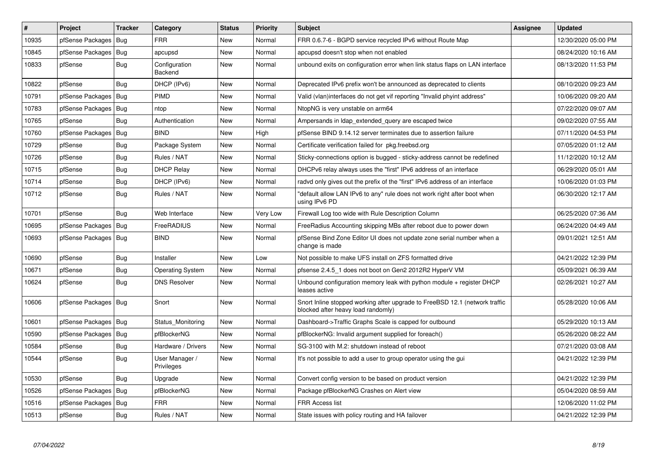| #     | Project                | Tracker    | Category                     | <b>Status</b> | <b>Priority</b> | <b>Subject</b>                                                                                                    | <b>Assignee</b> | <b>Updated</b>      |
|-------|------------------------|------------|------------------------------|---------------|-----------------|-------------------------------------------------------------------------------------------------------------------|-----------------|---------------------|
| 10935 | pfSense Packages   Bug |            | <b>FRR</b>                   | New           | Normal          | FRR 0.6.7-6 - BGPD service recycled IPv6 without Route Map                                                        |                 | 12/30/2020 05:00 PM |
| 10845 | pfSense Packages   Bug |            | apcupsd                      | <b>New</b>    | Normal          | apcupsd doesn't stop when not enabled                                                                             |                 | 08/24/2020 10:16 AM |
| 10833 | pfSense                | Bug        | Configuration<br>Backend     | New           | Normal          | unbound exits on configuration error when link status flaps on LAN interface                                      |                 | 08/13/2020 11:53 PM |
| 10822 | pfSense                | Bug        | DHCP (IPv6)                  | <b>New</b>    | Normal          | Deprecated IPv6 prefix won't be announced as deprecated to clients                                                |                 | 08/10/2020 09:23 AM |
| 10791 | pfSense Packages   Bug |            | PIMD                         | <b>New</b>    | Normal          | Valid (vlan)interfaces do not get vif reporting "Invalid phyint address"                                          |                 | 10/06/2020 09:20 AM |
| 10783 | pfSense Packages       | Bug        | ntop                         | <b>New</b>    | Normal          | NtopNG is very unstable on arm64                                                                                  |                 | 07/22/2020 09:07 AM |
| 10765 | pfSense                | Bug        | Authentication               | <b>New</b>    | Normal          | Ampersands in Idap_extended_query are escaped twice                                                               |                 | 09/02/2020 07:55 AM |
| 10760 | pfSense Packages   Bug |            | <b>BIND</b>                  | New           | High            | pfSense BIND 9.14.12 server terminates due to assertion failure                                                   |                 | 07/11/2020 04:53 PM |
| 10729 | pfSense                | <b>Bug</b> | Package System               | New           | Normal          | Certificate verification failed for pkg.freebsd.org                                                               |                 | 07/05/2020 01:12 AM |
| 10726 | pfSense                | Bug        | Rules / NAT                  | <b>New</b>    | Normal          | Sticky-connections option is bugged - sticky-address cannot be redefined                                          |                 | 11/12/2020 10:12 AM |
| 10715 | pfSense                | <b>Bug</b> | <b>DHCP Relay</b>            | <b>New</b>    | Normal          | DHCPv6 relay always uses the "first" IPv6 address of an interface                                                 |                 | 06/29/2020 05:01 AM |
| 10714 | pfSense                | <b>Bug</b> | DHCP (IPv6)                  | New           | Normal          | radvd only gives out the prefix of the "first" IPv6 address of an interface                                       |                 | 10/06/2020 01:03 PM |
| 10712 | pfSense                | <b>Bug</b> | Rules / NAT                  | New           | Normal          | "default allow LAN IPv6 to any" rule does not work right after boot when<br>using IPv6 PD                         |                 | 06/30/2020 12:17 AM |
| 10701 | pfSense                | Bug        | Web Interface                | New           | Very Low        | Firewall Log too wide with Rule Description Column                                                                |                 | 06/25/2020 07:36 AM |
| 10695 | pfSense Packages       | Bug        | <b>FreeRADIUS</b>            | New           | Normal          | FreeRadius Accounting skipping MBs after reboot due to power down                                                 |                 | 06/24/2020 04:49 AM |
| 10693 | pfSense Packages   Bug |            | <b>BIND</b>                  | <b>New</b>    | Normal          | pfSense Bind Zone Editor UI does not update zone serial number when a<br>change is made                           |                 | 09/01/2021 12:51 AM |
| 10690 | pfSense                | Bug        | Installer                    | <b>New</b>    | Low             | Not possible to make UFS install on ZFS formatted drive                                                           |                 | 04/21/2022 12:39 PM |
| 10671 | pfSense                | Bug        | <b>Operating System</b>      | New           | Normal          | pfsense 2.4.5 1 does not boot on Gen2 2012R2 HyperV VM                                                            |                 | 05/09/2021 06:39 AM |
| 10624 | pfSense                | <b>Bug</b> | <b>DNS Resolver</b>          | <b>New</b>    | Normal          | Unbound configuration memory leak with python module $+$ register DHCP<br>leases active                           |                 | 02/26/2021 10:27 AM |
| 10606 | pfSense Packages   Bug |            | Snort                        | <b>New</b>    | Normal          | Snort Inline stopped working after upgrade to FreeBSD 12.1 (network traffic<br>blocked after heavy load randomly) |                 | 05/28/2020 10:06 AM |
| 10601 | pfSense Packages   Bug |            | Status Monitoring            | New           | Normal          | Dashboard->Traffic Graphs Scale is capped for outbound                                                            |                 | 05/29/2020 10:13 AM |
| 10590 | pfSense Packages       | Bug        | pfBlockerNG                  | <b>New</b>    | Normal          | pfBlockerNG: Invalid argument supplied for foreach()                                                              |                 | 05/26/2020 08:22 AM |
| 10584 | pfSense                | Bug        | Hardware / Drivers           | <b>New</b>    | Normal          | SG-3100 with M.2: shutdown instead of reboot                                                                      |                 | 07/21/2020 03:08 AM |
| 10544 | pfSense                | Bug        | User Manager /<br>Privileges | <b>New</b>    | Normal          | It's not possible to add a user to group operator using the gui                                                   |                 | 04/21/2022 12:39 PM |
| 10530 | pfSense                | Bug        | Upgrade                      | <b>New</b>    | Normal          | Convert config version to be based on product version                                                             |                 | 04/21/2022 12:39 PM |
| 10526 | pfSense Packages   Bug |            | pfBlockerNG                  | New           | Normal          | Package pfBlockerNG Crashes on Alert view                                                                         |                 | 05/04/2020 08:59 AM |
| 10516 | pfSense Packages       | <b>Bug</b> | <b>FRR</b>                   | New           | Normal          | <b>FRR Access list</b>                                                                                            |                 | 12/06/2020 11:02 PM |
| 10513 | pfSense                | <b>Bug</b> | Rules / NAT                  | <b>New</b>    | Normal          | State issues with policy routing and HA failover                                                                  |                 | 04/21/2022 12:39 PM |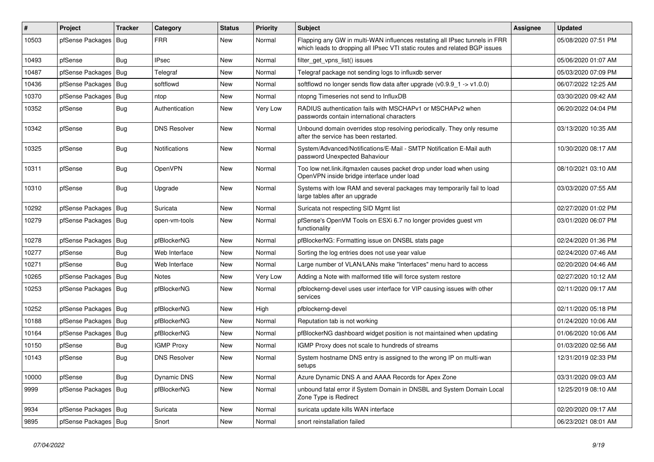| #     | Project                | <b>Tracker</b> | Category             | <b>Status</b> | <b>Priority</b> | <b>Subject</b>                                                                                                                                           | <b>Assignee</b> | <b>Updated</b>      |
|-------|------------------------|----------------|----------------------|---------------|-----------------|----------------------------------------------------------------------------------------------------------------------------------------------------------|-----------------|---------------------|
| 10503 | pfSense Packages       | Bug            | <b>FRR</b>           | New           | Normal          | Flapping any GW in multi-WAN influences restating all IPsec tunnels in FRR<br>which leads to dropping all IPsec VTI static routes and related BGP issues |                 | 05/08/2020 07:51 PM |
| 10493 | pfSense                | <b>Bug</b>     | <b>IPsec</b>         | <b>New</b>    | Normal          | filter_get_vpns_list() issues                                                                                                                            |                 | 05/06/2020 01:07 AM |
| 10487 | pfSense Packages   Bug |                | Telegraf             | <b>New</b>    | Normal          | Telegraf package not sending logs to influxdb server                                                                                                     |                 | 05/03/2020 07:09 PM |
| 10436 | pfSense Packages       | Bug            | softflowd            | <b>New</b>    | Normal          | softflowd no longer sends flow data after upgrade $(v0.9.9 - 1 - v1.0.0)$                                                                                |                 | 06/07/2022 12:25 AM |
| 10370 | pfSense Packages       | Bug            | ntop                 | New           | Normal          | ntopng Timeseries not send to InfluxDB                                                                                                                   |                 | 03/30/2020 09:42 AM |
| 10352 | pfSense                | <b>Bug</b>     | Authentication       | New           | Very Low        | RADIUS authentication fails with MSCHAPv1 or MSCHAPv2 when<br>passwords contain international characters                                                 |                 | 06/20/2022 04:04 PM |
| 10342 | pfSense                | Bug            | <b>DNS Resolver</b>  | New           | Normal          | Unbound domain overrides stop resolving periodically. They only resume<br>after the service has been restarted.                                          |                 | 03/13/2020 10:35 AM |
| 10325 | pfSense                | Bug            | <b>Notifications</b> | New           | Normal          | System/Advanced/Notifications/E-Mail - SMTP Notification E-Mail auth<br>password Unexpected Bahaviour                                                    |                 | 10/30/2020 08:17 AM |
| 10311 | pfSense                | Bug            | OpenVPN              | <b>New</b>    | Normal          | Too low net.link.ifqmaxlen causes packet drop under load when using<br>OpenVPN inside bridge interface under load                                        |                 | 08/10/2021 03:10 AM |
| 10310 | pfSense                | Bug            | Upgrade              | New           | Normal          | Systems with low RAM and several packages may temporarily fail to load<br>large tables after an upgrade                                                  |                 | 03/03/2020 07:55 AM |
| 10292 | pfSense Packages       | <b>Bug</b>     | Suricata             | <b>New</b>    | Normal          | Suricata not respecting SID Mgmt list                                                                                                                    |                 | 02/27/2020 01:02 PM |
| 10279 | pfSense Packages   Bug |                | open-vm-tools        | New           | Normal          | pfSense's OpenVM Tools on ESXi 6.7 no longer provides quest vm<br>functionality                                                                          |                 | 03/01/2020 06:07 PM |
| 10278 | pfSense Packages   Bug |                | pfBlockerNG          | <b>New</b>    | Normal          | pfBlockerNG: Formatting issue on DNSBL stats page                                                                                                        |                 | 02/24/2020 01:36 PM |
| 10277 | pfSense                | <b>Bug</b>     | Web Interface        | <b>New</b>    | Normal          | Sorting the log entries does not use year value                                                                                                          |                 | 02/24/2020 07:46 AM |
| 10271 | pfSense                | <b>Bug</b>     | Web Interface        | New           | Normal          | Large number of VLAN/LANs make "Interfaces" menu hard to access                                                                                          |                 | 02/20/2020 04:46 AM |
| 10265 | pfSense Packages   Bug |                | <b>Notes</b>         | <b>New</b>    | Very Low        | Adding a Note with malformed title will force system restore                                                                                             |                 | 02/27/2020 10:12 AM |
| 10253 | pfSense Packages   Bug |                | pfBlockerNG          | <b>New</b>    | Normal          | pfblockerng-devel uses user interface for VIP causing issues with other<br>services                                                                      |                 | 02/11/2020 09:17 AM |
| 10252 | pfSense Packages   Bug |                | pfBlockerNG          | <b>New</b>    | High            | pfblockerng-devel                                                                                                                                        |                 | 02/11/2020 05:18 PM |
| 10188 | pfSense Packages   Bug |                | pfBlockerNG          | <b>New</b>    | Normal          | Reputation tab is not working                                                                                                                            |                 | 01/24/2020 10:06 AM |
| 10164 | pfSense Packages   Bug |                | pfBlockerNG          | <b>New</b>    | Normal          | pfBlockerNG dashboard widget position is not maintained when updating                                                                                    |                 | 01/06/2020 10:06 AM |
| 10150 | pfSense                | <b>Bug</b>     | <b>IGMP Proxy</b>    | <b>New</b>    | Normal          | IGMP Proxy does not scale to hundreds of streams                                                                                                         |                 | 01/03/2020 02:56 AM |
| 10143 | pfSense                | Bug            | <b>DNS Resolver</b>  | New           | Normal          | System hostname DNS entry is assigned to the wrong IP on multi-wan<br>setups                                                                             |                 | 12/31/2019 02:33 PM |
| 10000 | pfSense                | <b>Bug</b>     | <b>Dynamic DNS</b>   | New           | Normal          | Azure Dynamic DNS A and AAAA Records for Apex Zone                                                                                                       |                 | 03/31/2020 09:03 AM |
| 9999  | pfSense Packages       | <b>Bug</b>     | pfBlockerNG          | New           | Normal          | unbound fatal error if System Domain in DNSBL and System Domain Local<br>Zone Type is Redirect                                                           |                 | 12/25/2019 08:10 AM |
| 9934  | pfSense Packages   Bug |                | Suricata             | New           | Normal          | suricata update kills WAN interface                                                                                                                      |                 | 02/20/2020 09:17 AM |
| 9895  | pfSense Packages   Bug |                | Snort                | New           | Normal          | snort reinstallation failed                                                                                                                              |                 | 06/23/2021 08:01 AM |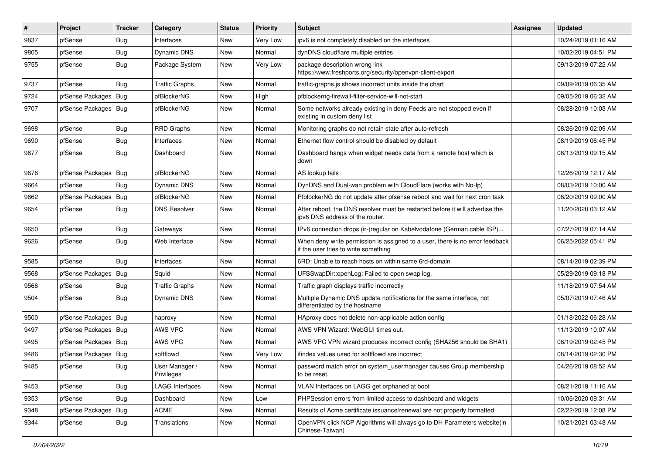| $\vert$ # | Project                | <b>Tracker</b> | Category                     | <b>Status</b> | <b>Priority</b> | <b>Subject</b>                                                                                                       | Assignee | <b>Updated</b>      |
|-----------|------------------------|----------------|------------------------------|---------------|-----------------|----------------------------------------------------------------------------------------------------------------------|----------|---------------------|
| 9837      | pfSense                | <b>Bug</b>     | Interfaces                   | New           | Very Low        | ipv6 is not completely disabled on the interfaces                                                                    |          | 10/24/2019 01:16 AM |
| 9805      | pfSense                | Bug            | Dynamic DNS                  | New           | Normal          | dynDNS cloudflare multiple entries                                                                                   |          | 10/02/2019 04:51 PM |
| 9755      | pfSense                | Bug            | Package System               | New           | Very Low        | package description wrong link<br>https://www.freshports.org/security/openvpn-client-export                          |          | 09/13/2019 07:22 AM |
| 9737      | pfSense                | <b>Bug</b>     | <b>Traffic Graphs</b>        | New           | Normal          | traffic-graphs.js shows incorrect units inside the chart                                                             |          | 09/09/2019 06:35 AM |
| 9724      | pfSense Packages       | Bug            | pfBlockerNG                  | New           | High            | pfblockerng-firewall-filter-service-will-not-start                                                                   |          | 09/05/2019 06:32 AM |
| 9707      | pfSense Packages   Bug |                | pfBlockerNG                  | New           | Normal          | Some networks already existing in deny Feeds are not stopped even if<br>existing in custom deny list                 |          | 08/28/2019 10:03 AM |
| 9698      | pfSense                | <b>Bug</b>     | <b>RRD Graphs</b>            | New           | Normal          | Monitoring graphs do not retain state after auto-refresh                                                             |          | 08/26/2019 02:09 AM |
| 9690      | pfSense                | Bug            | Interfaces                   | New           | Normal          | Ethernet flow control should be disabled by default                                                                  |          | 08/19/2019 06:45 PM |
| 9677      | pfSense                | Bug            | Dashboard                    | New           | Normal          | Dashboard hangs when widget needs data from a remote host which is<br>down                                           |          | 08/13/2019 09:15 AM |
| 9676      | pfSense Packages       | Bug            | pfBlockerNG                  | New           | Normal          | AS lookup fails                                                                                                      |          | 12/26/2019 12:17 AM |
| 9664      | pfSense                | <b>Bug</b>     | Dynamic DNS                  | New           | Normal          | DynDNS and Dual-wan problem with CloudFlare (works with No-Ip)                                                       |          | 08/03/2019 10:00 AM |
| 9662      | pfSense Packages       | Bug            | pfBlockerNG                  | New           | Normal          | PfblockerNG do not update after pfsense reboot and wait for next cron task                                           |          | 08/20/2019 09:00 AM |
| 9654      | pfSense                | Bug            | <b>DNS Resolver</b>          | <b>New</b>    | Normal          | After reboot, the DNS resolver must be restarted before it will advertise the<br>ipv6 DNS address of the router.     |          | 11/20/2020 03:12 AM |
| 9650      | pfSense                | Bug            | Gateways                     | <b>New</b>    | Normal          | IPv6 connection drops (ir-)regular on Kabelvodafone (German cable ISP)                                               |          | 07/27/2019 07:14 AM |
| 9626      | pfSense                | Bug            | Web Interface                | New           | Normal          | When deny write permission is assigned to a user, there is no error feedback<br>if the user tries to write something |          | 06/25/2022 05:41 PM |
| 9585      | pfSense                | <b>Bug</b>     | Interfaces                   | <b>New</b>    | Normal          | 6RD: Unable to reach hosts on within same 6rd-domain                                                                 |          | 08/14/2019 02:39 PM |
| 9568      | pfSense Packages       | Bug            | Squid                        | New           | Normal          | UFSSwapDir::openLog: Failed to open swap log.                                                                        |          | 05/29/2019 09:18 PM |
| 9566      | pfSense                | Bug            | <b>Traffic Graphs</b>        | New           | Normal          | Traffic graph displays traffic incorrectly                                                                           |          | 11/18/2019 07:54 AM |
| 9504      | pfSense                | <b>Bug</b>     | <b>Dynamic DNS</b>           | New           | Normal          | Multiple Dynamic DNS update notifications for the same interface, not<br>differentiated by the hostname              |          | 05/07/2019 07:46 AM |
| 9500      | pfSense Packages       | Bug            | haproxy                      | New           | Normal          | HAproxy does not delete non-applicable action config                                                                 |          | 01/18/2022 06:28 AM |
| 9497      | pfSense Packages       | Bug            | AWS VPC                      | New           | Normal          | AWS VPN Wizard: WebGUI times out.                                                                                    |          | 11/13/2019 10:07 AM |
| 9495      | pfSense Packages   Bug |                | AWS VPC                      | New           | Normal          | AWS VPC VPN wizard produces incorrect config (SHA256 should be SHA1)                                                 |          | 08/19/2019 02:45 PM |
| 9486      | pfSense Packages       | Bug            | softflowd                    | New           | Very Low        | ifindex values used for softflowd are incorrect                                                                      |          | 08/14/2019 02:30 PM |
| 9485      | pfSense                | Bug            | User Manager /<br>Privileges | New           | Normal          | password match error on system_usermanager causes Group membership<br>to be reset.                                   |          | 04/26/2019 08:52 AM |
| 9453      | pfSense                | <b>Bug</b>     | <b>LAGG Interfaces</b>       | <b>New</b>    | Normal          | VLAN Interfaces on LAGG get orphaned at boot                                                                         |          | 08/21/2019 11:16 AM |
| 9353      | pfSense                | <b>Bug</b>     | Dashboard                    | New           | Low             | PHPSession errors from limited access to dashboard and widgets                                                       |          | 10/06/2020 09:31 AM |
| 9348      | pfSense Packages       | Bug            | <b>ACME</b>                  | New           | Normal          | Results of Acme certificate issuance/renewal are not properly formatted                                              |          | 02/22/2019 12:08 PM |
| 9344      | pfSense                | <b>Bug</b>     | Translations                 | <b>New</b>    | Normal          | OpenVPN click NCP Algorithms will always go to DH Parameters website(in<br>Chinese-Taiwan)                           |          | 10/21/2021 03:48 AM |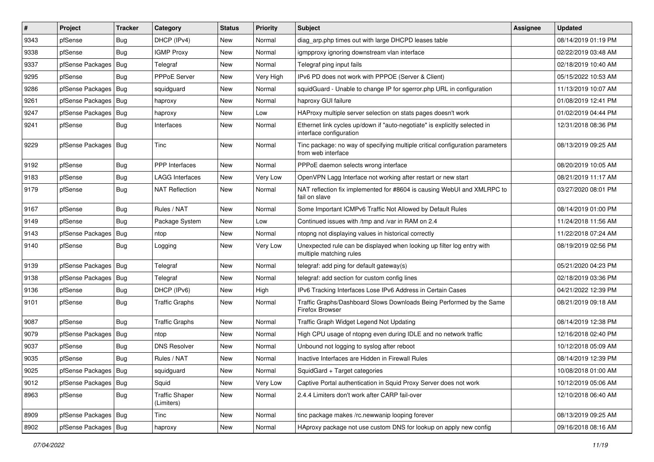| $\vert$ # | Project                | <b>Tracker</b> | Category                            | <b>Status</b> | <b>Priority</b> | <b>Subject</b>                                                                                        | <b>Assignee</b> | <b>Updated</b>      |
|-----------|------------------------|----------------|-------------------------------------|---------------|-----------------|-------------------------------------------------------------------------------------------------------|-----------------|---------------------|
| 9343      | pfSense                | <b>Bug</b>     | DHCP (IPv4)                         | New           | Normal          | diag_arp.php times out with large DHCPD leases table                                                  |                 | 08/14/2019 01:19 PM |
| 9338      | pfSense                | Bug            | <b>IGMP Proxy</b>                   | New           | Normal          | igmpproxy ignoring downstream vlan interface                                                          |                 | 02/22/2019 03:48 AM |
| 9337      | pfSense Packages       | Bug            | Telegraf                            | New           | Normal          | Telegraf ping input fails                                                                             |                 | 02/18/2019 10:40 AM |
| 9295      | pfSense                | <b>Bug</b>     | <b>PPPoE Server</b>                 | New           | Very High       | IPv6 PD does not work with PPPOE (Server & Client)                                                    |                 | 05/15/2022 10:53 AM |
| 9286      | pfSense Packages       | Bug            | squidguard                          | New           | Normal          | squidGuard - Unable to change IP for sgerror.php URL in configuration                                 |                 | 11/13/2019 10:07 AM |
| 9261      | pfSense Packages       | Bug            | haproxy                             | New           | Normal          | haproxy GUI failure                                                                                   |                 | 01/08/2019 12:41 PM |
| 9247      | pfSense Packages       | <b>Bug</b>     | haproxy                             | New           | Low             | HAProxy multiple server selection on stats pages doesn't work                                         |                 | 01/02/2019 04:44 PM |
| 9241      | pfSense                | Bug            | Interfaces                          | New           | Normal          | Ethernet link cycles up/down if "auto-negotiate" is explicitly selected in<br>interface configuration |                 | 12/31/2018 08:36 PM |
| 9229      | pfSense Packages   Bug |                | <b>Tinc</b>                         | New           | Normal          | Tinc package: no way of specifying multiple critical configuration parameters<br>from web interface   |                 | 08/13/2019 09:25 AM |
| 9192      | pfSense                | Bug            | <b>PPP</b> Interfaces               | New           | Normal          | PPPoE daemon selects wrong interface                                                                  |                 | 08/20/2019 10:05 AM |
| 9183      | pfSense                | Bug            | <b>LAGG Interfaces</b>              | New           | Very Low        | OpenVPN Lagg Interface not working after restart or new start                                         |                 | 08/21/2019 11:17 AM |
| 9179      | pfSense                | <b>Bug</b>     | NAT Reflection                      | New           | Normal          | NAT reflection fix implemented for #8604 is causing WebUI and XMLRPC to<br>fail on slave              |                 | 03/27/2020 08:01 PM |
| 9167      | pfSense                | Bug            | Rules / NAT                         | <b>New</b>    | Normal          | Some Important ICMPv6 Traffic Not Allowed by Default Rules                                            |                 | 08/14/2019 01:00 PM |
| 9149      | pfSense                | Bug            | Package System                      | New           | Low             | Continued issues with /tmp and /var in RAM on 2.4                                                     |                 | 11/24/2018 11:56 AM |
| 9143      | pfSense Packages       | <b>Bug</b>     | ntop                                | New           | Normal          | ntopng not displaying values in historical correctly                                                  |                 | 11/22/2018 07:24 AM |
| 9140      | pfSense                | Bug            | Logging                             | New           | Very Low        | Unexpected rule can be displayed when looking up filter log entry with<br>multiple matching rules     |                 | 08/19/2019 02:56 PM |
| 9139      | pfSense Packages       | Bug            | Telegraf                            | New           | Normal          | telegraf: add ping for default gateway(s)                                                             |                 | 05/21/2020 04:23 PM |
| 9138      | pfSense Packages       | <b>Bug</b>     | Telegraf                            | New           | Normal          | telegraf: add section for custom config lines                                                         |                 | 02/18/2019 03:36 PM |
| 9136      | pfSense                | Bug            | DHCP (IPv6)                         | New           | High            | IPv6 Tracking Interfaces Lose IPv6 Address in Certain Cases                                           |                 | 04/21/2022 12:39 PM |
| 9101      | pfSense                | Bug            | <b>Traffic Graphs</b>               | New           | Normal          | Traffic Graphs/Dashboard Slows Downloads Being Performed by the Same<br>Firefox Browser               |                 | 08/21/2019 09:18 AM |
| 9087      | pfSense                | Bug            | <b>Traffic Graphs</b>               | New           | Normal          | Traffic Graph Widget Legend Not Updating                                                              |                 | 08/14/2019 12:38 PM |
| 9079      | pfSense Packages       | <b>Bug</b>     | ntop                                | New           | Normal          | High CPU usage of ntopng even during IDLE and no network traffic                                      |                 | 12/16/2018 02:40 PM |
| 9037      | pfSense                | Bug            | <b>DNS Resolver</b>                 | New           | Normal          | Unbound not logging to syslog after reboot                                                            |                 | 10/12/2018 05:09 AM |
| 9035      | pfSense                | <b>Bug</b>     | Rules / NAT                         | New           | Normal          | Inactive Interfaces are Hidden in Firewall Rules                                                      |                 | 08/14/2019 12:39 PM |
| 9025      | pfSense Packages   Bug |                | squidguard                          | New           | Normal          | SquidGard + Target categories                                                                         |                 | 10/08/2018 01:00 AM |
| 9012      | pfSense Packages       | Bug            | Squid                               | New           | Very Low        | Captive Portal authentication in Squid Proxy Server does not work                                     |                 | 10/12/2019 05:06 AM |
| 8963      | pfSense                | Bug            | <b>Traffic Shaper</b><br>(Limiters) | New           | Normal          | 2.4.4 Limiters don't work after CARP fail-over                                                        |                 | 12/10/2018 06:40 AM |
| 8909      | pfSense Packages       | Bug            | Tinc                                | New           | Normal          | tinc package makes /rc.newwanip looping forever                                                       |                 | 08/13/2019 09:25 AM |
| 8902      | pfSense Packages       | Bug            | haproxy                             | New           | Normal          | HAproxy package not use custom DNS for lookup on apply new config                                     |                 | 09/16/2018 08:16 AM |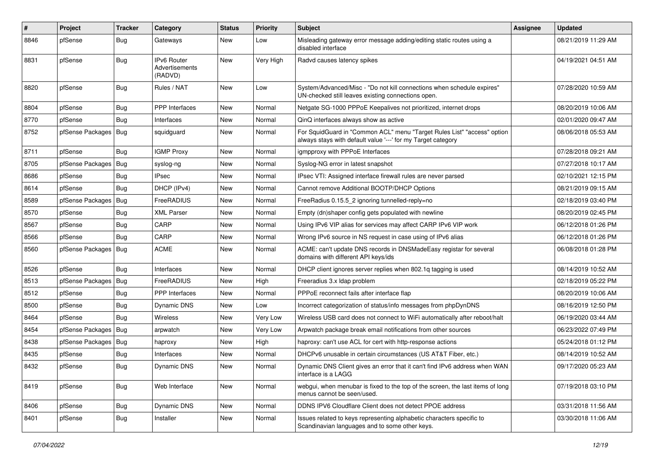| $\sharp$ | Project                | <b>Tracker</b> | Category                                        | <b>Status</b> | <b>Priority</b> | <b>Subject</b>                                                                                                                          | Assignee | <b>Updated</b>      |
|----------|------------------------|----------------|-------------------------------------------------|---------------|-----------------|-----------------------------------------------------------------------------------------------------------------------------------------|----------|---------------------|
| 8846     | pfSense                | Bug            | Gateways                                        | New           | Low             | Misleading gateway error message adding/editing static routes using a<br>disabled interface                                             |          | 08/21/2019 11:29 AM |
| 8831     | pfSense                | Bug            | <b>IPv6 Router</b><br>Advertisements<br>(RADVD) | New           | Very High       | Radvd causes latency spikes                                                                                                             |          | 04/19/2021 04:51 AM |
| 8820     | pfSense                | Bug            | Rules / NAT                                     | New           | Low             | System/Advanced/Misc - "Do not kill connections when schedule expires"<br>UN-checked still leaves existing connections open.            |          | 07/28/2020 10:59 AM |
| 8804     | pfSense                | <b>Bug</b>     | PPP Interfaces                                  | New           | Normal          | Netgate SG-1000 PPPoE Keepalives not prioritized, internet drops                                                                        |          | 08/20/2019 10:06 AM |
| 8770     | pfSense                | <b>Bug</b>     | Interfaces                                      | New           | Normal          | QinQ interfaces always show as active                                                                                                   |          | 02/01/2020 09:47 AM |
| 8752     | pfSense Packages       | Bug            | squidguard                                      | New           | Normal          | For SquidGuard in "Common ACL" menu "Target Rules List" "access" option<br>always stays with default value '---' for my Target category |          | 08/06/2018 05:53 AM |
| 8711     | pfSense                | Bug            | <b>IGMP Proxy</b>                               | New           | Normal          | igmpproxy with PPPoE Interfaces                                                                                                         |          | 07/28/2018 09:21 AM |
| 8705     | pfSense Packages       | Bug            | syslog-ng                                       | New           | Normal          | Syslog-NG error in latest snapshot                                                                                                      |          | 07/27/2018 10:17 AM |
| 8686     | pfSense                | Bug            | <b>IPsec</b>                                    | New           | Normal          | IPsec VTI: Assigned interface firewall rules are never parsed                                                                           |          | 02/10/2021 12:15 PM |
| 8614     | pfSense                | Bug            | DHCP (IPv4)                                     | New           | Normal          | Cannot remove Additional BOOTP/DHCP Options                                                                                             |          | 08/21/2019 09:15 AM |
| 8589     | pfSense Packages       | Bug            | FreeRADIUS                                      | New           | Normal          | FreeRadius 0.15.5_2 ignoring tunnelled-reply=no                                                                                         |          | 02/18/2019 03:40 PM |
| 8570     | pfSense                | Bug            | <b>XML Parser</b>                               | New           | Normal          | Empty (dn)shaper config gets populated with newline                                                                                     |          | 08/20/2019 02:45 PM |
| 8567     | pfSense                | Bug            | CARP                                            | New           | Normal          | Using IPv6 VIP alias for services may affect CARP IPv6 VIP work                                                                         |          | 06/12/2018 01:26 PM |
| 8566     | pfSense                | Bug            | CARP                                            | New           | Normal          | Wrong IPv6 source in NS request in case using of IPv6 alias                                                                             |          | 06/12/2018 01:26 PM |
| 8560     | pfSense Packages   Bug |                | <b>ACME</b>                                     | New           | Normal          | ACME: can't update DNS records in DNSMadeEasy registar for several<br>domains with different API keys/ids                               |          | 06/08/2018 01:28 PM |
| 8526     | pfSense                | <b>Bug</b>     | Interfaces                                      | New           | Normal          | DHCP client ignores server replies when 802.1q tagging is used                                                                          |          | 08/14/2019 10:52 AM |
| 8513     | pfSense Packages       | Bug            | FreeRADIUS                                      | New           | High            | Freeradius 3.x Idap problem                                                                                                             |          | 02/18/2019 05:22 PM |
| 8512     | pfSense                | Bug            | PPP Interfaces                                  | New           | Normal          | PPPoE reconnect fails after interface flap                                                                                              |          | 08/20/2019 10:06 AM |
| 8500     | pfSense                | <b>Bug</b>     | Dynamic DNS                                     | New           | Low             | Incorrect categorization of status/info messages from phpDynDNS                                                                         |          | 08/16/2019 12:50 PM |
| 8464     | pfSense                | Bug            | Wireless                                        | New           | Very Low        | Wireless USB card does not connect to WiFi automatically after reboot/halt                                                              |          | 06/19/2020 03:44 AM |
| 8454     | pfSense Packages       | <b>Bug</b>     | arpwatch                                        | New           | Very Low        | Arpwatch package break email notifications from other sources                                                                           |          | 06/23/2022 07:49 PM |
| 8438     | pfSense Packages       | Bug            | haproxy                                         | New           | High            | haproxy: can't use ACL for cert with http-response actions                                                                              |          | 05/24/2018 01:12 PM |
| 8435     | pfSense                | <b>Bug</b>     | Interfaces                                      | New           | Normal          | DHCPv6 unusable in certain circumstances (US AT&T Fiber, etc.)                                                                          |          | 08/14/2019 10:52 AM |
| 8432     | pfSense                | Bug            | Dynamic DNS                                     | New           | Normal          | Dynamic DNS Client gives an error that it can't find IPv6 address when WAN<br>interface is a LAGG                                       |          | 09/17/2020 05:23 AM |
| 8419     | pfSense                | Bug            | Web Interface                                   | New           | Normal          | webgui, when menubar is fixed to the top of the screen, the last items of long<br>menus cannot be seen/used.                            |          | 07/19/2018 03:10 PM |
| 8406     | pfSense                | <b>Bug</b>     | Dynamic DNS                                     | New           | Normal          | DDNS IPV6 Cloudflare Client does not detect PPOE address                                                                                |          | 03/31/2018 11:56 AM |
| 8401     | pfSense                | <b>Bug</b>     | Installer                                       | New           | Normal          | Issues related to keys representing alphabetic characters specific to<br>Scandinavian languages and to some other keys.                 |          | 03/30/2018 11:06 AM |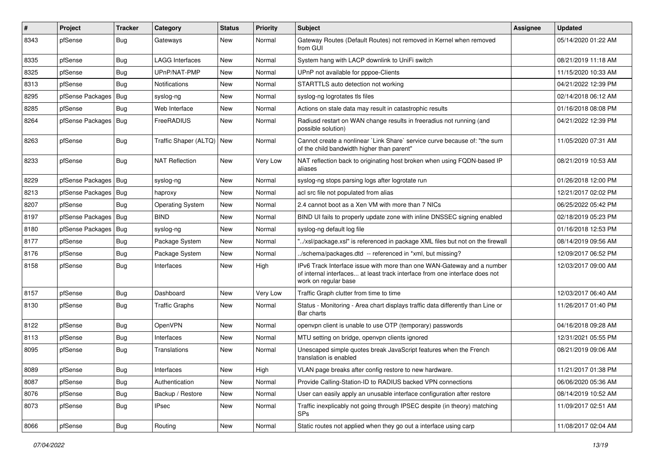| #    | Project                | <b>Tracker</b> | Category                | <b>Status</b> | <b>Priority</b> | <b>Subject</b>                                                                                                                                                                | Assignee | <b>Updated</b>      |
|------|------------------------|----------------|-------------------------|---------------|-----------------|-------------------------------------------------------------------------------------------------------------------------------------------------------------------------------|----------|---------------------|
| 8343 | pfSense                | Bug            | Gateways                | New           | Normal          | Gateway Routes (Default Routes) not removed in Kernel when removed<br>from GUI                                                                                                |          | 05/14/2020 01:22 AM |
| 8335 | pfSense                | <b>Bug</b>     | <b>LAGG Interfaces</b>  | New           | Normal          | System hang with LACP downlink to UniFi switch                                                                                                                                |          | 08/21/2019 11:18 AM |
| 8325 | pfSense                | <b>Bug</b>     | UPnP/NAT-PMP            | New           | Normal          | UPnP not available for pppoe-Clients                                                                                                                                          |          | 11/15/2020 10:33 AM |
| 8313 | pfSense                | <b>Bug</b>     | <b>Notifications</b>    | New           | Normal          | STARTTLS auto detection not working                                                                                                                                           |          | 04/21/2022 12:39 PM |
| 8295 | pfSense Packages       | <b>Bug</b>     | syslog-ng               | New           | Normal          | syslog-ng logrotates tls files                                                                                                                                                |          | 02/14/2018 06:12 AM |
| 8285 | pfSense                | <b>Bug</b>     | Web Interface           | New           | Normal          | Actions on stale data may result in catastrophic results                                                                                                                      |          | 01/16/2018 08:08 PM |
| 8264 | pfSense Packages       | <b>Bug</b>     | FreeRADIUS              | New           | Normal          | Radiusd restart on WAN change results in freeradius not running (and<br>possible solution)                                                                                    |          | 04/21/2022 12:39 PM |
| 8263 | pfSense                | <b>Bug</b>     | Traffic Shaper (ALTQ)   | <b>New</b>    | Normal          | Cannot create a nonlinear `Link Share` service curve because of: "the sum<br>of the child bandwidth higher than parent"                                                       |          | 11/05/2020 07:31 AM |
| 8233 | pfSense                | <b>Bug</b>     | <b>NAT Reflection</b>   | New           | Very Low        | NAT reflection back to originating host broken when using FQDN-based IP<br>aliases                                                                                            |          | 08/21/2019 10:53 AM |
| 8229 | pfSense Packages       | <b>Bug</b>     | syslog-ng               | New           | Normal          | syslog-ng stops parsing logs after logrotate run                                                                                                                              |          | 01/26/2018 12:00 PM |
| 8213 | pfSense Packages   Bug |                | haproxy                 | New           | Normal          | acl src file not populated from alias                                                                                                                                         |          | 12/21/2017 02:02 PM |
| 8207 | pfSense                | <b>Bug</b>     | <b>Operating System</b> | New           | Normal          | 2.4 cannot boot as a Xen VM with more than 7 NICs                                                                                                                             |          | 06/25/2022 05:42 PM |
| 8197 | pfSense Packages       | Bug            | <b>BIND</b>             | New           | Normal          | BIND UI fails to properly update zone with inline DNSSEC signing enabled                                                                                                      |          | 02/18/2019 05:23 PM |
| 8180 | pfSense Packages       | <b>Bug</b>     | syslog-ng               | New           | Normal          | syslog-ng default log file                                                                                                                                                    |          | 01/16/2018 12:53 PM |
| 8177 | pfSense                | <b>Bug</b>     | Package System          | New           | Normal          | "/xsl/package.xsl" is referenced in package XML files but not on the firewall                                                                                                 |          | 08/14/2019 09:56 AM |
| 8176 | pfSense                | <b>Bug</b>     | Package System          | New           | Normal          | /schema/packages.dtd -- referenced in *xml, but missing?                                                                                                                      |          | 12/09/2017 06:52 PM |
| 8158 | pfSense                | <b>Bug</b>     | Interfaces              | New           | High            | IPv6 Track Interface issue with more than one WAN-Gateway and a number<br>of internal interfaces at least track interface from one interface does not<br>work on regular base |          | 12/03/2017 09:00 AM |
| 8157 | pfSense                | <b>Bug</b>     | Dashboard               | New           | Very Low        | Traffic Graph clutter from time to time                                                                                                                                       |          | 12/03/2017 06:40 AM |
| 8130 | pfSense                | <b>Bug</b>     | <b>Traffic Graphs</b>   | New           | Normal          | Status - Monitoring - Area chart displays traffic data differently than Line or<br>Bar charts                                                                                 |          | 11/26/2017 01:40 PM |
| 8122 | pfSense                | <b>Bug</b>     | OpenVPN                 | New           | Normal          | openvpn client is unable to use OTP (temporary) passwords                                                                                                                     |          | 04/16/2018 09:28 AM |
| 8113 | pfSense                | <b>Bug</b>     | Interfaces              | New           | Normal          | MTU setting on bridge, openvpn clients ignored                                                                                                                                |          | 12/31/2021 05:55 PM |
| 8095 | pfSense                | Bug            | Translations            | New           | Normal          | Unescaped simple quotes break JavaScript features when the French<br>translation is enabled                                                                                   |          | 08/21/2019 09:06 AM |
| 8089 | pfSense                | <b>Bug</b>     | Interfaces              | New           | High            | VLAN page breaks after config restore to new hardware.                                                                                                                        |          | 11/21/2017 01:38 PM |
| 8087 | pfSense                | <b>Bug</b>     | Authentication          | New           | Normal          | Provide Calling-Station-ID to RADIUS backed VPN connections                                                                                                                   |          | 06/06/2020 05:36 AM |
| 8076 | pfSense                | <b>Bug</b>     | Backup / Restore        | New           | Normal          | User can easily apply an unusable interface configuration after restore                                                                                                       |          | 08/14/2019 10:52 AM |
| 8073 | pfSense                | Bug            | IPsec                   | New           | Normal          | Traffic inexplicably not going through IPSEC despite (in theory) matching<br><b>SPs</b>                                                                                       |          | 11/09/2017 02:51 AM |
| 8066 | pfSense                | Bug            | Routing                 | New           | Normal          | Static routes not applied when they go out a interface using carp                                                                                                             |          | 11/08/2017 02:04 AM |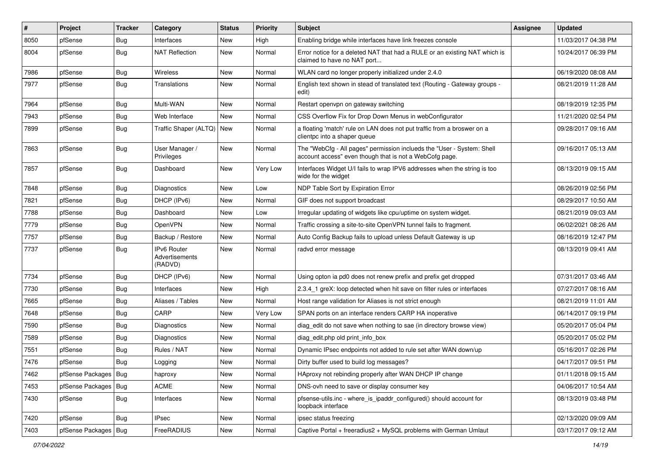| $\vert$ # | Project                | <b>Tracker</b> | Category                                 | <b>Status</b> | <b>Priority</b> | <b>Subject</b>                                                                                                                    | Assignee | <b>Updated</b>      |
|-----------|------------------------|----------------|------------------------------------------|---------------|-----------------|-----------------------------------------------------------------------------------------------------------------------------------|----------|---------------------|
| 8050      | pfSense                | <b>Bug</b>     | Interfaces                               | New           | High            | Enabling bridge while interfaces have link freezes console                                                                        |          | 11/03/2017 04:38 PM |
| 8004      | pfSense                | Bug            | <b>NAT Reflection</b>                    | New           | Normal          | Error notice for a deleted NAT that had a RULE or an existing NAT which is<br>claimed to have no NAT port                         |          | 10/24/2017 06:39 PM |
| 7986      | pfSense                | Bug            | <b>Wireless</b>                          | <b>New</b>    | Normal          | WLAN card no longer properly initialized under 2.4.0                                                                              |          | 06/19/2020 08:08 AM |
| 7977      | pfSense                | <b>Bug</b>     | Translations                             | New           | Normal          | English text shown in stead of translated text (Routing - Gateway groups -<br>edit)                                               |          | 08/21/2019 11:28 AM |
| 7964      | pfSense                | Bug            | Multi-WAN                                | New           | Normal          | Restart openvpn on gateway switching                                                                                              |          | 08/19/2019 12:35 PM |
| 7943      | pfSense                | <b>Bug</b>     | Web Interface                            | <b>New</b>    | Normal          | CSS Overflow Fix for Drop Down Menus in webConfigurator                                                                           |          | 11/21/2020 02:54 PM |
| 7899      | pfSense                | Bug            | Traffic Shaper (ALTQ)                    | New           | Normal          | a floating 'match' rule on LAN does not put traffic from a broswer on a<br>clientpc into a shaper queue                           |          | 09/28/2017 09:16 AM |
| 7863      | pfSense                | <b>Bug</b>     | User Manager /<br>Privileges             | New           | Normal          | The "WebCfg - All pages" permission inclueds the "User - System: Shell<br>account access" even though that is not a WebCofg page. |          | 09/16/2017 05:13 AM |
| 7857      | pfSense                | Bug            | Dashboard                                | New           | Very Low        | Interfaces Widget U/I fails to wrap IPV6 addresses when the string is too<br>wide for the widget                                  |          | 08/13/2019 09:15 AM |
| 7848      | pfSense                | Bug            | <b>Diagnostics</b>                       | New           | Low             | NDP Table Sort by Expiration Error                                                                                                |          | 08/26/2019 02:56 PM |
| 7821      | pfSense                | <b>Bug</b>     | DHCP (IPv6)                              | New           | Normal          | GIF does not support broadcast                                                                                                    |          | 08/29/2017 10:50 AM |
| 7788      | pfSense                | <b>Bug</b>     | Dashboard                                | New           | Low             | Irregular updating of widgets like cpu/uptime on system widget.                                                                   |          | 08/21/2019 09:03 AM |
| 7779      | pfSense                | Bug            | <b>OpenVPN</b>                           | New           | Normal          | Traffic crossing a site-to-site OpenVPN tunnel fails to fragment.                                                                 |          | 06/02/2021 08:26 AM |
| 7757      | pfSense                | Bug            | Backup / Restore                         | <b>New</b>    | Normal          | Auto Config Backup fails to upload unless Default Gateway is up                                                                   |          | 08/16/2019 12:47 PM |
| 7737      | pfSense                | <b>Bug</b>     | IPv6 Router<br>Advertisements<br>(RADVD) | <b>New</b>    | Normal          | radvd error message                                                                                                               |          | 08/13/2019 09:41 AM |
| 7734      | pfSense                | <b>Bug</b>     | DHCP (IPv6)                              | New           | Normal          | Using opton ia pd0 does not renew prefix and prefix get dropped                                                                   |          | 07/31/2017 03:46 AM |
| 7730      | pfSense                | Bug            | Interfaces                               | <b>New</b>    | High            | 2.3.4_1 greX: loop detected when hit save on filter rules or interfaces                                                           |          | 07/27/2017 08:16 AM |
| 7665      | pfSense                | Bug            | Aliases / Tables                         | New           | Normal          | Host range validation for Aliases is not strict enough                                                                            |          | 08/21/2019 11:01 AM |
| 7648      | pfSense                | <b>Bug</b>     | CARP                                     | New           | Very Low        | SPAN ports on an interface renders CARP HA inoperative                                                                            |          | 06/14/2017 09:19 PM |
| 7590      | pfSense                | <b>Bug</b>     | <b>Diagnostics</b>                       | New           | Normal          | diag_edit do not save when nothing to sae (in directory browse view)                                                              |          | 05/20/2017 05:04 PM |
| 7589      | pfSense                | <b>Bug</b>     | Diagnostics                              | New           | Normal          | diag edit.php old print info box                                                                                                  |          | 05/20/2017 05:02 PM |
| 7551      | pfSense                | <b>Bug</b>     | Rules / NAT                              | New           | Normal          | Dynamic IPsec endpoints not added to rule set after WAN down/up                                                                   |          | 05/16/2017 02:26 PM |
| 7476      | pfSense                | <b>Bug</b>     | Logging                                  | New           | Normal          | Dirty buffer used to build log messages?                                                                                          |          | 04/17/2017 09:51 PM |
| 7462      | pfSense Packages   Bug |                | haproxy                                  | New           | Normal          | HAproxy not rebinding properly after WAN DHCP IP change                                                                           |          | 01/11/2018 09:15 AM |
| 7453      | pfSense Packages       | Bug            | ACME                                     | New           | Normal          | DNS-ovh need to save or display consumer key                                                                                      |          | 04/06/2017 10:54 AM |
| 7430      | pfSense                | <b>Bug</b>     | Interfaces                               | <b>New</b>    | Normal          | pfsense-utils.inc - where_is_ipaddr_configured() should account for<br>loopback interface                                         |          | 08/13/2019 03:48 PM |
| 7420      | pfSense                | Bug            | <b>IPsec</b>                             | New           | Normal          | ipsec status freezing                                                                                                             |          | 02/13/2020 09:09 AM |
| 7403      | pfSense Packages   Bug |                | FreeRADIUS                               | New           | Normal          | Captive Portal + freeradius2 + MySQL problems with German Umlaut                                                                  |          | 03/17/2017 09:12 AM |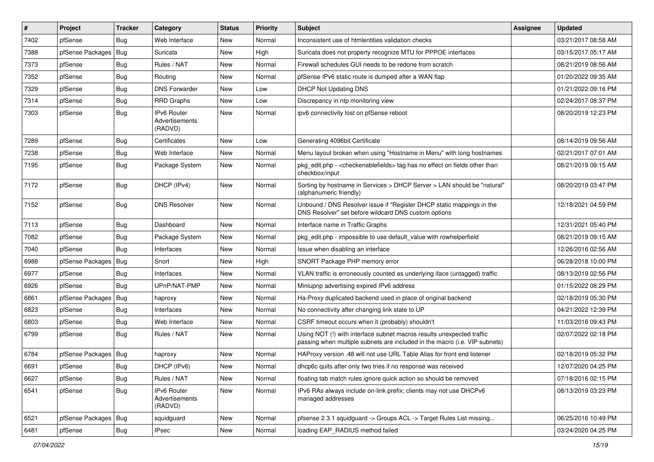| $\vert$ # | Project          | <b>Tracker</b> | Category                                               | <b>Status</b> | <b>Priority</b> | <b>Subject</b>                                                                                                                                      | <b>Assignee</b> | <b>Updated</b>      |
|-----------|------------------|----------------|--------------------------------------------------------|---------------|-----------------|-----------------------------------------------------------------------------------------------------------------------------------------------------|-----------------|---------------------|
| 7402      | pfSense          | Bug            | Web Interface                                          | New           | Normal          | Inconsistent use of htmlentities validation checks                                                                                                  |                 | 03/21/2017 08:58 AM |
| 7388      | pfSense Packages | Bug            | Suricata                                               | New           | High            | Suricata does not property recognize MTU for PPPOE interfaces                                                                                       |                 | 03/15/2017 05:17 AM |
| 7373      | pfSense          | <b>Bug</b>     | Rules / NAT                                            | New           | Normal          | Firewall schedules GUI needs to be redone from scratch                                                                                              |                 | 08/21/2019 08:56 AM |
| 7352      | pfSense          | Bug            | Routing                                                | New           | Normal          | pfSense IPv6 static route is dumped after a WAN flap                                                                                                |                 | 01/20/2022 09:35 AM |
| 7329      | pfSense          | Bug            | <b>DNS Forwarder</b>                                   | <b>New</b>    | Low             | <b>DHCP Not Updating DNS</b>                                                                                                                        |                 | 01/21/2022 09:16 PM |
| 7314      | pfSense          | Bug            | <b>RRD Graphs</b>                                      | New           | Low             | Discrepancy in ntp monitoring view                                                                                                                  |                 | 02/24/2017 08:37 PM |
| 7303      | pfSense          | Bug            | <b>IPv6 Router</b><br><b>Advertisements</b><br>(RADVD) | New           | Normal          | ipv6 connectivity lost on pfSense reboot                                                                                                            |                 | 08/20/2019 12:23 PM |
| 7289      | pfSense          | Bug            | Certificates                                           | <b>New</b>    | Low             | Generating 4096bit Certificate                                                                                                                      |                 | 08/14/2019 09:56 AM |
| 7238      | pfSense          | Bug            | Web Interface                                          | New           | Normal          | Menu layout broken when using "Hostname in Menu" with long hostnames                                                                                |                 | 02/21/2017 07:01 AM |
| 7195      | pfSense          | Bug            | Package System                                         | New           | Normal          | pkg edit.php - <checkenable fields=""> tag has no effect on fields other than<br/>checkbox/input</checkenable>                                      |                 | 08/21/2019 09:15 AM |
| 7172      | pfSense          | Bug            | DHCP (IPv4)                                            | New           | Normal          | Sorting by hostname in Services > DHCP Server > LAN should be "natural"<br>(alphanumeric friendly)                                                  |                 | 08/20/2019 03:47 PM |
| 7152      | pfSense          | <b>Bug</b>     | <b>DNS Resolver</b>                                    | <b>New</b>    | Normal          | Unbound / DNS Resolver issue if "Register DHCP static mappings in the<br>DNS Resolver" set before wildcard DNS custom options                       |                 | 12/18/2021 04:59 PM |
| 7113      | pfSense          | Bug            | Dashboard                                              | <b>New</b>    | Normal          | Interface name in Traffic Graphs                                                                                                                    |                 | 12/31/2021 05:40 PM |
| 7082      | pfSense          | Bug            | Package System                                         | New           | Normal          | pkg edit.php - impossible to use default value with rowhelperfield                                                                                  |                 | 08/21/2019 09:15 AM |
| 7040      | pfSense          | Bug            | Interfaces                                             | New           | Normal          | Issue when disabling an interface                                                                                                                   |                 | 12/26/2016 02:56 AM |
| 6988      | pfSense Packages | Bug            | Snort                                                  | New           | High            | SNORT Package PHP memory error                                                                                                                      |                 | 06/28/2018 10:00 PM |
| 6977      | pfSense          | <b>Bug</b>     | Interfaces                                             | New           | Normal          | VLAN traffic is erroneously counted as underlying iface (untagged) traffic                                                                          |                 | 08/13/2019 02:56 PM |
| 6926      | pfSense          | Bug            | UPnP/NAT-PMP                                           | New           | Normal          | Miniupnp advertising expired IPv6 address                                                                                                           |                 | 01/15/2022 08:29 PM |
| 6861      | pfSense Packages | <b>Bug</b>     | haproxy                                                | New           | Normal          | Ha-Proxy duplicated backend used in place of original backend                                                                                       |                 | 02/18/2019 05:30 PM |
| 6823      | pfSense          | Bug            | Interfaces                                             | New           | Normal          | No connectivity after changing link state to UP                                                                                                     |                 | 04/21/2022 12:39 PM |
| 6803      | pfSense          | Bug            | Web Interface                                          | New           | Normal          | CSRF timeout occurs when it (probably) shouldn't                                                                                                    |                 | 11/03/2016 09:43 PM |
| 6799      | pfSense          | Bug            | Rules / NAT                                            | New           | Normal          | Using NOT (!) with interface subnet macros results unexpected traffic<br>passing when multiple subnets are included in the macro (i.e. VIP subnets) |                 | 02/07/2022 02:18 PM |
| 6784      | pfSense Packages | <b>Bug</b>     | haproxy                                                | New           | Normal          | HAProxy version .48 will not use URL Table Alias for front end listener                                                                             |                 | 02/18/2019 05:32 PM |
| 6691      | pfSense          | Bug            | DHCP (IPv6)                                            | New           | Normal          | dhcp6c quits after only two tries if no response was received                                                                                       |                 | 12/07/2020 04:25 PM |
| 6627      | pfSense          | Bug            | Rules / NAT                                            | New           | Normal          | floating tab match rules ignore quick action so should be removed                                                                                   |                 | 07/18/2016 02:15 PM |
| 6541      | pfSense          | Bug            | IPv6 Router<br>Advertisements<br>(RADVD)               | New           | Normal          | IPv6 RAs always include on-link prefix; clients may not use DHCPv6<br>managed addresses                                                             |                 | 08/13/2019 03:23 PM |
| 6521      | pfSense Packages | <b>Bug</b>     | squidguard                                             | New           | Normal          | pfsense 2.3.1 squidguard -> Groups ACL -> Target Rules List missing                                                                                 |                 | 06/25/2016 10:49 PM |
| 6481      | pfSense          | Bug            | <b>IPsec</b>                                           | New           | Normal          | loading EAP RADIUS method failed                                                                                                                    |                 | 03/24/2020 04:25 PM |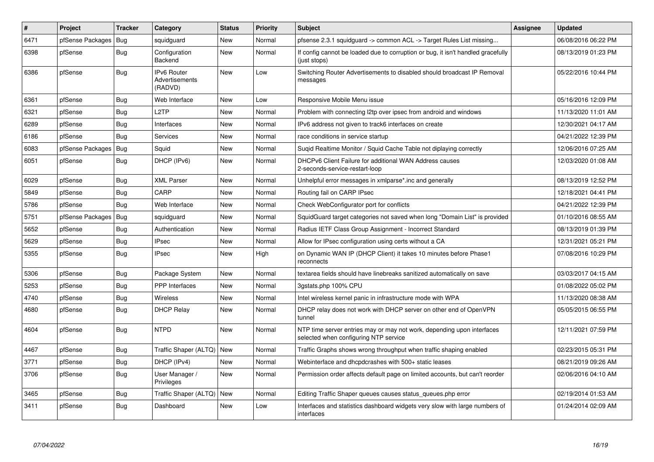| $\vert$ # | Project          | <b>Tracker</b> | Category                                        | <b>Status</b> | <b>Priority</b> | <b>Subject</b>                                                                                                  | Assignee | <b>Updated</b>      |
|-----------|------------------|----------------|-------------------------------------------------|---------------|-----------------|-----------------------------------------------------------------------------------------------------------------|----------|---------------------|
| 6471      | pfSense Packages | <b>Bug</b>     | squidquard                                      | New           | Normal          | pfsense 2.3.1 squidquard -> common ACL -> Target Rules List missing                                             |          | 06/08/2016 06:22 PM |
| 6398      | pfSense          | <b>Bug</b>     | Configuration<br>Backend                        | New           | Normal          | If config cannot be loaded due to corruption or bug, it isn't handled gracefully<br>(just stops)                |          | 08/13/2019 01:23 PM |
| 6386      | pfSense          | <b>Bug</b>     | <b>IPv6 Router</b><br>Advertisements<br>(RADVD) | <b>New</b>    | Low             | Switching Router Advertisements to disabled should broadcast IP Removal<br>messages                             |          | 05/22/2016 10:44 PM |
| 6361      | pfSense          | Bug            | Web Interface                                   | <b>New</b>    | Low             | Responsive Mobile Menu issue                                                                                    |          | 05/16/2016 12:09 PM |
| 6321      | pfSense          | Bug            | L2TP                                            | New           | Normal          | Problem with connecting 12tp over ipsec from android and windows                                                |          | 11/13/2020 11:01 AM |
| 6289      | pfSense          | Bug            | Interfaces                                      | <b>New</b>    | Normal          | IPv6 address not given to track6 interfaces on create                                                           |          | 12/30/2021 04:17 AM |
| 6186      | pfSense          | <b>Bug</b>     | Services                                        | New           | Normal          | race conditions in service startup                                                                              |          | 04/21/2022 12:39 PM |
| 6083      | pfSense Packages | Bug            | Squid                                           | New           | Normal          | Sugid Realtime Monitor / Squid Cache Table not diplaying correctly                                              |          | 12/06/2016 07:25 AM |
| 6051      | pfSense          | Bug            | DHCP (IPv6)                                     | New           | Normal          | DHCPv6 Client Failure for additional WAN Address causes<br>2-seconds-service-restart-loop                       |          | 12/03/2020 01:08 AM |
| 6029      | pfSense          | <b>Bug</b>     | <b>XML Parser</b>                               | New           | Normal          | Unhelpful error messages in xmlparse*.inc and generally                                                         |          | 08/13/2019 12:52 PM |
| 5849      | pfSense          | Bug            | CARP                                            | New           | Normal          | Routing fail on CARP IPsec                                                                                      |          | 12/18/2021 04:41 PM |
| 5786      | pfSense          | Bug            | Web Interface                                   | New           | Normal          | Check WebConfigurator port for conflicts                                                                        |          | 04/21/2022 12:39 PM |
| 5751      | pfSense Packages | <b>Bug</b>     | squidguard                                      | New           | Normal          | SquidGuard target categories not saved when long "Domain List" is provided                                      |          | 01/10/2016 08:55 AM |
| 5652      | pfSense          | Bug            | Authentication                                  | New           | Normal          | Radius IETF Class Group Assignment - Incorrect Standard                                                         |          | 08/13/2019 01:39 PM |
| 5629      | pfSense          | <b>Bug</b>     | <b>IPsec</b>                                    | <b>New</b>    | Normal          | Allow for IPsec configuration using certs without a CA                                                          |          | 12/31/2021 05:21 PM |
| 5355      | pfSense          | Bug            | <b>IPsec</b>                                    | New           | High            | on Dynamic WAN IP (DHCP Client) it takes 10 minutes before Phase1<br>reconnects                                 |          | 07/08/2016 10:29 PM |
| 5306      | pfSense          | <b>Bug</b>     | Package System                                  | New           | Normal          | textarea fields should have linebreaks sanitized automatically on save                                          |          | 03/03/2017 04:15 AM |
| 5253      | pfSense          | <b>Bug</b>     | <b>PPP</b> Interfaces                           | <b>New</b>    | Normal          | 3gstats.php 100% CPU                                                                                            |          | 01/08/2022 05:02 PM |
| 4740      | pfSense          | Bug            | Wireless                                        | New           | Normal          | Intel wireless kernel panic in infrastructure mode with WPA                                                     |          | 11/13/2020 08:38 AM |
| 4680      | pfSense          | Bug            | <b>DHCP Relay</b>                               | New           | Normal          | DHCP relay does not work with DHCP server on other end of OpenVPN<br>tunnel                                     |          | 05/05/2015 06:55 PM |
| 4604      | pfSense          | Bug            | <b>NTPD</b>                                     | New           | Normal          | NTP time server entries may or may not work, depending upon interfaces<br>selected when configuring NTP service |          | 12/11/2021 07:59 PM |
| 4467      | pfSense          | <b>Bug</b>     | Traffic Shaper (ALTQ)                           | <b>New</b>    | Normal          | Traffic Graphs shows wrong throughput when traffic shaping enabled                                              |          | 02/23/2015 05:31 PM |
| 3771      | pfSense          | <b>Bug</b>     | DHCP (IPv4)                                     | New           | Normal          | Webinterface and dhcpdcrashes with 500+ static leases                                                           |          | 08/21/2019 09:26 AM |
| 3706      | pfSense          | <b>Bug</b>     | User Manager /<br>Privileges                    | New           | Normal          | Permission order affects default page on limited accounts, but can't reorder                                    |          | 02/06/2016 04:10 AM |
| 3465      | pfSense          | <b>Bug</b>     | Traffic Shaper (ALTQ)                           | New           | Normal          | Editing Traffic Shaper queues causes status queues.php error                                                    |          | 02/19/2014 01:53 AM |
| 3411      | pfSense          | Bug            | Dashboard                                       | New           | Low             | Interfaces and statistics dashboard widgets very slow with large numbers of<br>interfaces                       |          | 01/24/2014 02:09 AM |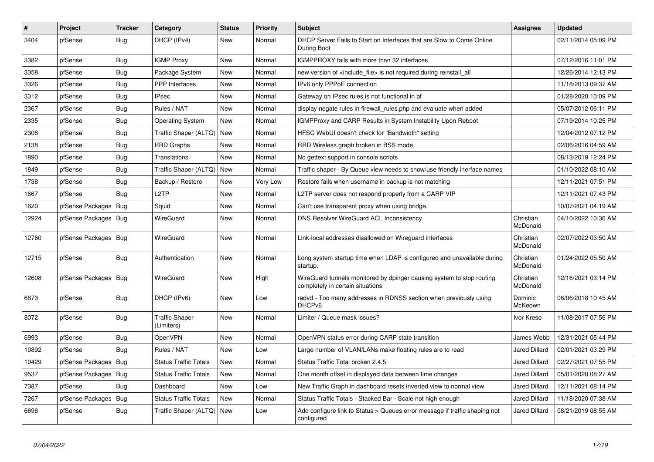| $\#$  | <b>Project</b>   | <b>Tracker</b> | Category                            | <b>Status</b> | <b>Priority</b> | <b>Subject</b>                                                                                            | <b>Assignee</b>       | <b>Updated</b>      |
|-------|------------------|----------------|-------------------------------------|---------------|-----------------|-----------------------------------------------------------------------------------------------------------|-----------------------|---------------------|
| 3404  | pfSense          | Bug            | DHCP (IPv4)                         | New           | Normal          | DHCP Server Fails to Start on Interfaces that are Slow to Come Online<br>During Boot                      |                       | 02/11/2014 05:09 PM |
| 3382  | pfSense          | Bug            | <b>IGMP Proxy</b>                   | New           | Normal          | IGMPPROXY fails with more than 32 interfaces                                                              |                       | 07/12/2016 11:01 PM |
| 3358  | pfSense          | <b>Bug</b>     | Package System                      | New           | Normal          | new version of <include file=""> is not required during reinstall all</include>                           |                       | 12/26/2014 12:13 PM |
| 3326  | pfSense          | <b>Bug</b>     | <b>PPP</b> Interfaces               | New           | Normal          | IPv6 only PPPoE connection                                                                                |                       | 11/18/2013 09:37 AM |
| 3312  | pfSense          | Bug            | <b>IPsec</b>                        | New           | Normal          | Gateway on IPsec rules is not functional in pf                                                            |                       | 01/28/2020 10:09 PM |
| 2367  | pfSense          | Bug            | Rules / NAT                         | New           | Normal          | display negate rules in firewall rules php and evaluate when added                                        |                       | 05/07/2012 06:11 PM |
| 2335  | pfSense          | Bug            | <b>Operating System</b>             | New           | Normal          | IGMPProxy and CARP Results in System Instability Upon Reboot                                              |                       | 07/19/2014 10:25 PM |
| 2308  | pfSense          | <b>Bug</b>     | Traffic Shaper (ALTQ)               | <b>New</b>    | Normal          | HFSC WebUI doesn't check for "Bandwidth" setting                                                          |                       | 12/04/2012 07:12 PM |
| 2138  | pfSense          | <b>Bug</b>     | <b>RRD Graphs</b>                   | New           | Normal          | RRD Wireless graph broken in BSS mode                                                                     |                       | 02/06/2016 04:59 AM |
| 1890  | pfSense          | Bug            | Translations                        | <b>New</b>    | Normal          | No gettext support in console scripts                                                                     |                       | 08/13/2019 12:24 PM |
| 1849  | pfSense          | <b>Bug</b>     | Traffic Shaper (ALTQ)               | New           | Normal          | Traffic shaper - By Queue view needs to show/use friendly inerface names                                  |                       | 01/10/2022 08:10 AM |
| 1738  | pfSense          | Bug            | Backup / Restore                    | New           | Very Low        | Restore fails when username in backup is not matching                                                     |                       | 12/11/2021 07:51 PM |
| 1667  | pfSense          | Bug            | L2TP                                | New           | Normal          | L2TP server does not respond properly from a CARP VIP                                                     |                       | 12/11/2021 07:43 PM |
| 1620  | pfSense Packages | Bug            | Squid                               | New           | Normal          | Can't use transparent proxy when using bridge.                                                            |                       | 10/07/2021 04:19 AM |
| 12924 | pfSense Packages | Bug            | WireGuard                           | New           | Normal          | <b>DNS Resolver WireGuard ACL Inconsistency</b>                                                           | Christian<br>McDonald | 04/10/2022 10:36 AM |
| 12760 | pfSense Packages | <b>Bug</b>     | WireGuard                           | New           | Normal          | Link-local addresses disallowed on Wireguard interfaces                                                   | Christian<br>McDonald | 02/07/2022 03:50 AM |
| 12715 | pfSense          | <b>Bug</b>     | Authentication                      | New           | Normal          | Long system startup time when LDAP is configured and unavailable during<br>startup.                       | Christian<br>McDonald | 01/24/2022 05:50 AM |
| 12608 | pfSense Packages | Bug            | WireGuard                           | New           | High            | WireGuard tunnels monitored by dpinger causing system to stop routing<br>completely in certain situations | Christian<br>McDonald | 12/16/2021 03:14 PM |
| 6873  | pfSense          | <b>Bug</b>     | DHCP (IPv6)                         | New           | Low             | radvd - Too many addresses in RDNSS section when previously using<br>DHCP <sub>v6</sub>                   | Dominic<br>McKeown    | 06/06/2018 10:45 AM |
| 8072  | pfSense          | <b>Bug</b>     | <b>Traffic Shaper</b><br>(Limiters) | New           | Normal          | Limiter / Queue mask issues?                                                                              | Ivor Kreso            | 11/08/2017 07:56 PM |
| 6993  | pfSense          | Bug            | OpenVPN                             | New           | Normal          | OpenVPN status error during CARP state transition                                                         | James Webb            | 12/31/2021 05:44 PM |
| 10892 | pfSense          | Bug            | Rules / NAT                         | New           | Low             | Large number of VLAN/LANs make floating rules are to read                                                 | Jared Dillard         | 02/01/2021 03:29 PM |
| 10429 | pfSense Packages | Bug            | <b>Status Traffic Totals</b>        | New           | Normal          | Status Traffic Total broken 2.4.5                                                                         | Jared Dillard         | 02/27/2021 07:55 PM |
| 9537  | pfSense Packages | Bug            | <b>Status Traffic Totals</b>        | New           | Normal          | One month offset in displayed data between time changes                                                   | Jared Dillard         | 05/01/2020 08:27 AM |
| 7387  | pfSense          | <b>Bug</b>     | Dashboard                           | <b>New</b>    | Low             | New Traffic Graph in dashboard resets inverted view to normal view                                        | <b>Jared Dillard</b>  | 12/11/2021 08:14 PM |
| 7267  | pfSense Packages | <b>Bug</b>     | <b>Status Traffic Totals</b>        | New           | Normal          | Status Traffic Totals - Stacked Bar - Scale not high enough                                               | Jared Dillard         | 11/18/2020 07:38 AM |
| 6696  | pfSense          | Bug            | Traffic Shaper (ALTQ)               | <b>New</b>    | Low             | Add configure link to Status > Queues error message if traffic shaping not<br>configured                  | Jared Dillard         | 08/21/2019 08:55 AM |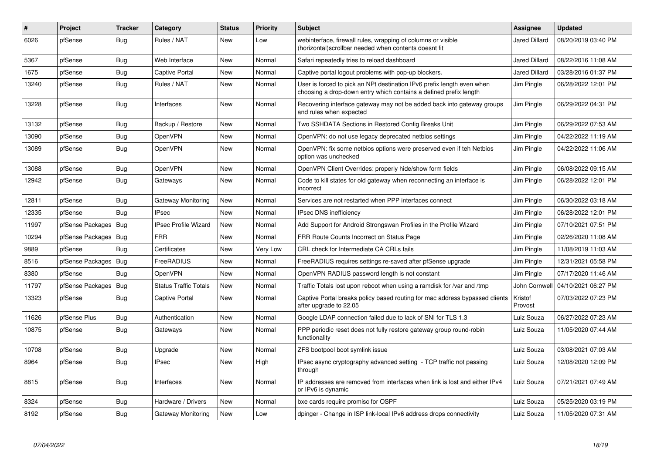| #     | <b>Project</b>         | <b>Tracker</b> | Category                     | <b>Status</b> | <b>Priority</b> | <b>Subject</b>                                                                                                                              | Assignee             | <b>Updated</b>      |
|-------|------------------------|----------------|------------------------------|---------------|-----------------|---------------------------------------------------------------------------------------------------------------------------------------------|----------------------|---------------------|
| 6026  | pfSense                | <b>Bug</b>     | Rules / NAT                  | <b>New</b>    | Low             | webinterface, firewall rules, wrapping of columns or visible<br>(horizontal)scrollbar needed when contents doesnt fit                       | Jared Dillard        | 08/20/2019 03:40 PM |
| 5367  | pfSense                | <b>Bug</b>     | Web Interface                | New           | Normal          | Safari repeatedly tries to reload dashboard                                                                                                 | Jared Dillard        | 08/22/2016 11:08 AM |
| 1675  | pfSense                | <b>Bug</b>     | <b>Captive Portal</b>        | New           | Normal          | Captive portal logout problems with pop-up blockers.                                                                                        | <b>Jared Dillard</b> | 03/28/2016 01:37 PM |
| 13240 | pfSense                | <b>Bug</b>     | Rules / NAT                  | <b>New</b>    | Normal          | User is forced to pick an NPt destination IPv6 prefix length even when<br>choosing a drop-down entry which contains a defined prefix length | Jim Pingle           | 06/28/2022 12:01 PM |
| 13228 | pfSense                | Bug            | Interfaces                   | New           | Normal          | Recovering interface gateway may not be added back into gateway groups<br>and rules when expected                                           | Jim Pingle           | 06/29/2022 04:31 PM |
| 13132 | pfSense                | Bug            | Backup / Restore             | New           | Normal          | Two SSHDATA Sections in Restored Config Breaks Unit                                                                                         | Jim Pingle           | 06/29/2022 07:53 AM |
| 13090 | pfSense                | <b>Bug</b>     | <b>OpenVPN</b>               | <b>New</b>    | Normal          | OpenVPN: do not use legacy deprecated netbios settings                                                                                      | Jim Pingle           | 04/22/2022 11:19 AM |
| 13089 | pfSense                | <b>Bug</b>     | OpenVPN                      | New           | Normal          | OpenVPN: fix some netbios options were preserved even if teh Netbios<br>option was unchecked                                                | Jim Pingle           | 04/22/2022 11:06 AM |
| 13088 | pfSense                | <b>Bug</b>     | OpenVPN                      | New           | Normal          | OpenVPN Client Overrides: properly hide/show form fields                                                                                    | Jim Pingle           | 06/08/2022 09:15 AM |
| 12942 | pfSense                | <b>Bug</b>     | Gateways                     | New           | Normal          | Code to kill states for old gateway when reconnecting an interface is<br>incorrect                                                          | Jim Pingle           | 06/28/2022 12:01 PM |
| 12811 | pfSense                | Bug            | Gateway Monitoring           | New           | Normal          | Services are not restarted when PPP interfaces connect                                                                                      | Jim Pingle           | 06/30/2022 03:18 AM |
| 12335 | pfSense                | <b>Bug</b>     | <b>IPsec</b>                 | <b>New</b>    | Normal          | <b>IPsec DNS inefficiency</b>                                                                                                               | Jim Pingle           | 06/28/2022 12:01 PM |
| 11997 | pfSense Packages   Bug |                | <b>IPsec Profile Wizard</b>  | <b>New</b>    | Normal          | Add Support for Android Strongswan Profiles in the Profile Wizard                                                                           | Jim Pingle           | 07/10/2021 07:51 PM |
| 10294 | pfSense Packages       | <b>Bug</b>     | <b>FRR</b>                   | <b>New</b>    | Normal          | FRR Route Counts Incorrect on Status Page                                                                                                   | Jim Pingle           | 02/26/2020 11:08 AM |
| 9889  | pfSense                | Bug            | Certificates                 | New           | Very Low        | CRL check for Intermediate CA CRLs fails                                                                                                    | Jim Pingle           | 11/08/2019 11:03 AM |
| 8516  | pfSense Packages       | Bug            | <b>FreeRADIUS</b>            | New           | Normal          | FreeRADIUS requires settings re-saved after pfSense upgrade                                                                                 | Jim Pingle           | 12/31/2021 05:58 PM |
| 8380  | pfSense                | Bug            | OpenVPN                      | New           | Normal          | OpenVPN RADIUS password length is not constant                                                                                              | Jim Pingle           | 07/17/2020 11:46 AM |
| 11797 | pfSense Packages       | Bug            | <b>Status Traffic Totals</b> | New           | Normal          | Traffic Totals lost upon reboot when using a ramdisk for /var and /tmp                                                                      | John Cornwell        | 04/10/2021 06:27 PM |
| 13323 | pfSense                | <b>Bug</b>     | Captive Portal               | <b>New</b>    | Normal          | Captive Portal breaks policy based routing for mac address bypassed clients<br>after upgrade to 22.05                                       | Kristof<br>Provost   | 07/03/2022 07:23 PM |
| 11626 | pfSense Plus           | Bug            | Authentication               | New           | Normal          | Google LDAP connection failed due to lack of SNI for TLS 1.3                                                                                | Luiz Souza           | 06/27/2022 07:23 AM |
| 10875 | pfSense                | <b>Bug</b>     | Gateways                     | <b>New</b>    | Normal          | PPP periodic reset does not fully restore gateway group round-robin<br>functionality                                                        | Luiz Souza           | 11/05/2020 07:44 AM |
| 10708 | pfSense                | <b>Bug</b>     | Upgrade                      | New           | Normal          | ZFS bootpool boot symlink issue                                                                                                             | Luiz Souza           | 03/08/2021 07:03 AM |
| 8964  | pfSense                | Bug            | <b>IPsec</b>                 | New           | High            | IPsec async cryptography advanced setting - TCP traffic not passing<br>through                                                              | Luiz Souza           | 12/08/2020 12:09 PM |
| 8815  | pfSense                | Bug            | Interfaces                   | New           | Normal          | IP addresses are removed from interfaces when link is lost and either IPv4<br>or IPv6 is dynamic                                            | Luiz Souza           | 07/21/2021 07:49 AM |
| 8324  | pfSense                | <b>Bug</b>     | Hardware / Drivers           | New           | Normal          | bxe cards require promisc for OSPF                                                                                                          | Luiz Souza           | 05/25/2020 03:19 PM |
| 8192  | pfSense                | Bug            | Gateway Monitoring           | New           | Low             | dpinger - Change in ISP link-local IPv6 address drops connectivity                                                                          | Luiz Souza           | 11/05/2020 07:31 AM |